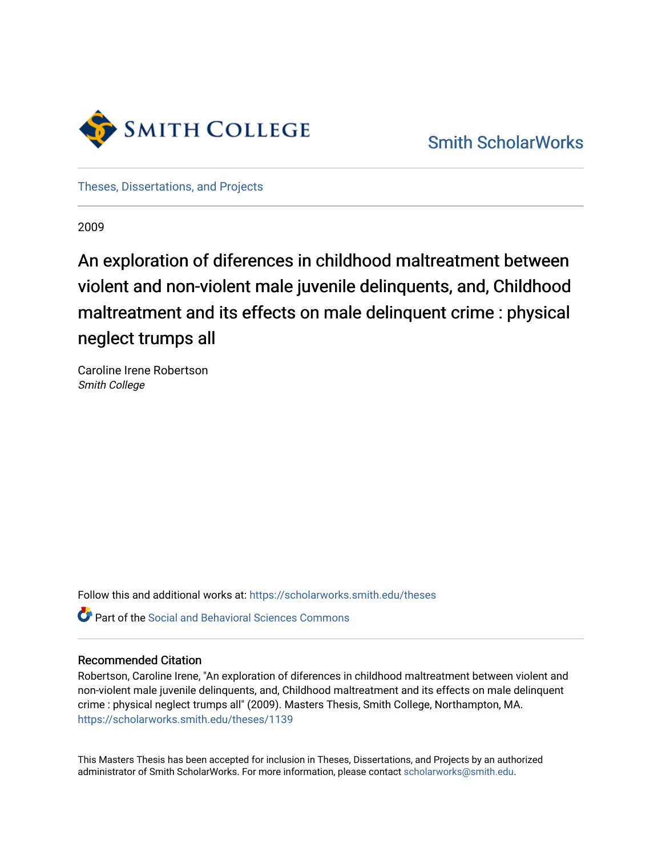

[Theses, Dissertations, and Projects](https://scholarworks.smith.edu/theses) 

2009

# An exploration of diferences in childhood maltreatment between violent and non-violent male juvenile delinquents, and, Childhood maltreatment and its effects on male delinquent crime : physical neglect trumps all

Caroline Irene Robertson Smith College

Follow this and additional works at: [https://scholarworks.smith.edu/theses](https://scholarworks.smith.edu/theses?utm_source=scholarworks.smith.edu%2Ftheses%2F1139&utm_medium=PDF&utm_campaign=PDFCoverPages) 

**P** Part of the Social and Behavioral Sciences Commons

#### Recommended Citation

Robertson, Caroline Irene, "An exploration of diferences in childhood maltreatment between violent and non-violent male juvenile delinquents, and, Childhood maltreatment and its effects on male delinquent crime : physical neglect trumps all" (2009). Masters Thesis, Smith College, Northampton, MA. [https://scholarworks.smith.edu/theses/1139](https://scholarworks.smith.edu/theses/1139?utm_source=scholarworks.smith.edu%2Ftheses%2F1139&utm_medium=PDF&utm_campaign=PDFCoverPages)

This Masters Thesis has been accepted for inclusion in Theses, Dissertations, and Projects by an authorized administrator of Smith ScholarWorks. For more information, please contact [scholarworks@smith.edu](mailto:scholarworks@smith.edu).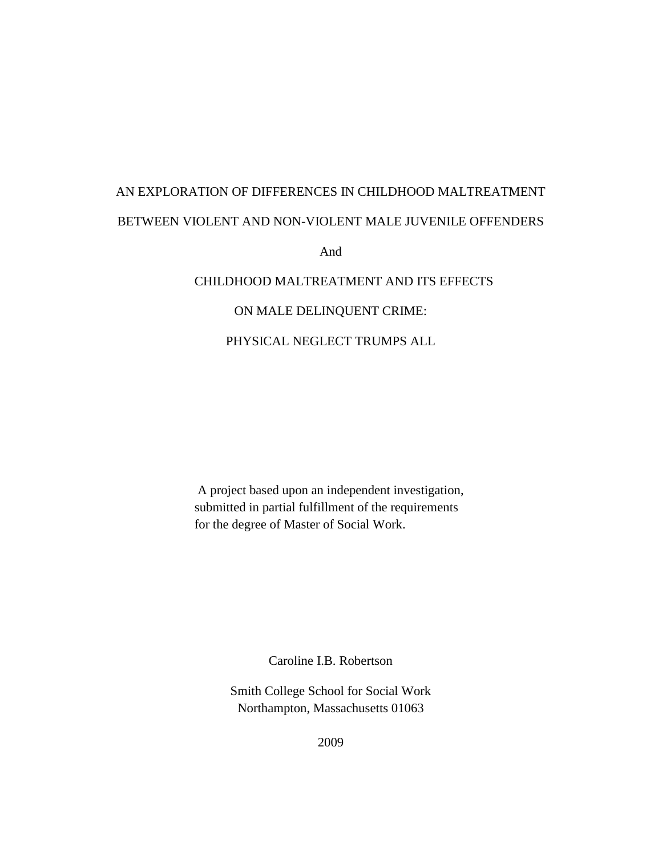# AN EXPLORATION OF DIFFERENCES IN CHILDHOOD MALTREATMENT BETWEEN VIOLENT AND NON-VIOLENT MALE JUVENILE OFFENDERS

And

# CHILDHOOD MALTREATMENT AND ITS EFFECTS

# ON MALE DELINQUENT CRIME:

# PHYSICAL NEGLECT TRUMPS ALL

A project based upon an independent investigation, submitted in partial fulfillment of the requirements for the degree of Master of Social Work.

Caroline I.B. Robertson

Smith College School for Social Work Northampton, Massachusetts 01063

2009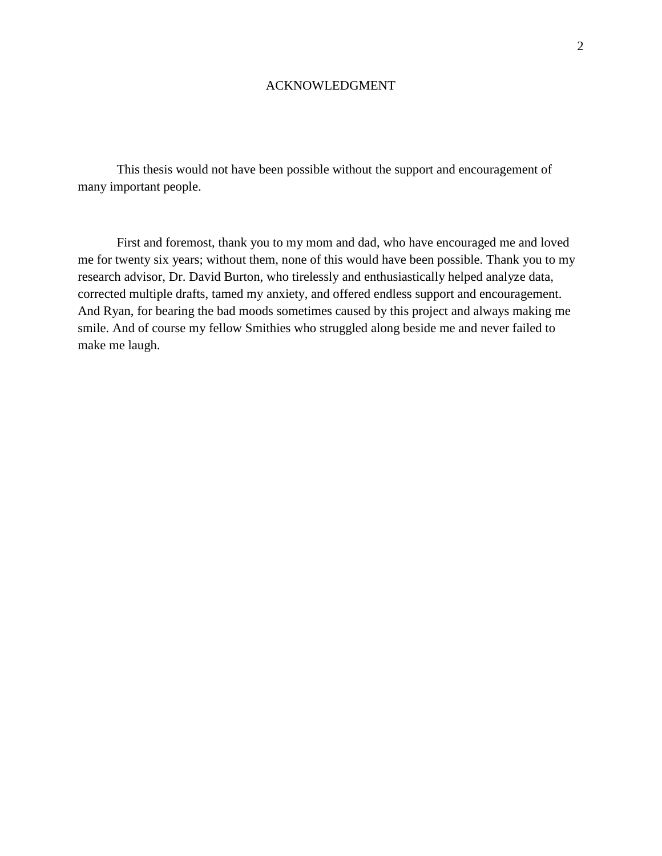#### ACKNOWLEDGMENT

This thesis would not have been possible without the support and encouragement of many important people.

First and foremost, thank you to my mom and dad, who have encouraged me and loved me for twenty six years; without them, none of this would have been possible. Thank you to my research advisor, Dr. David Burton, who tirelessly and enthusiastically helped analyze data, corrected multiple drafts, tamed my anxiety, and offered endless support and encouragement. And Ryan, for bearing the bad moods sometimes caused by this project and always making me smile. And of course my fellow Smithies who struggled along beside me and never failed to make me laugh.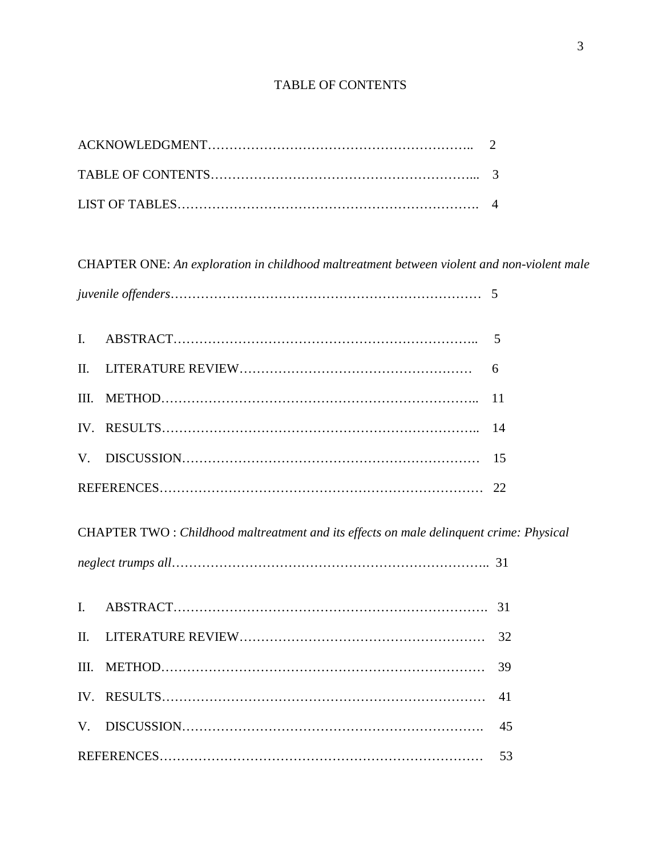# TABLE OF CONTENTS

CHAPTER ONE: *An exploration in childhood maltreatment between violent and non-violent male* 

CHAPTER TWO : *Childhood maltreatment and its effects on male delinquent crime: Physical* 

*neglect trumps all*……………………………………………………………….. 31 I. ABSTRACT………………………………………………………………. 31 II. LITERATURE REVIEW………………………………………………… 32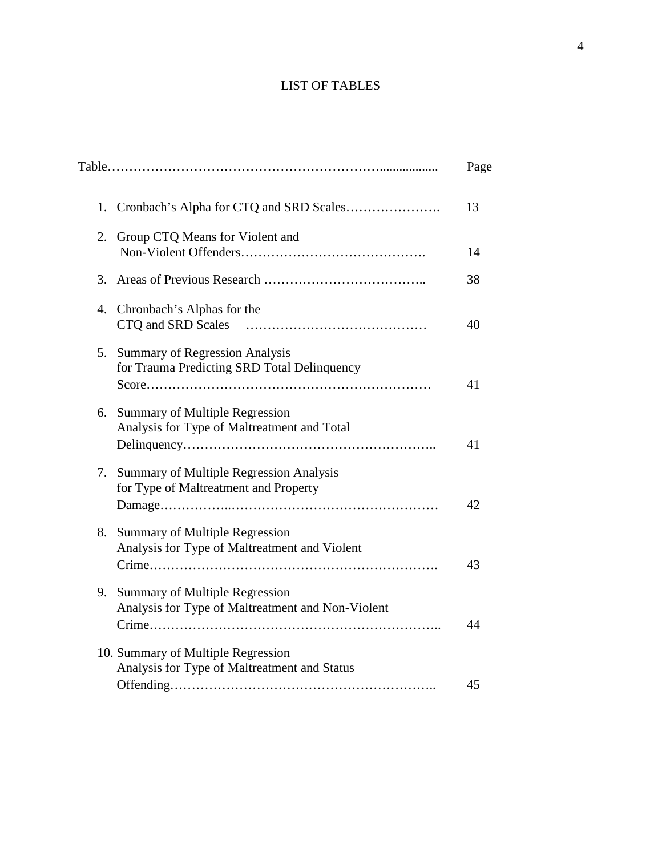# LIST OF TABLES

|    |                                                                                        | Page |
|----|----------------------------------------------------------------------------------------|------|
| 1. |                                                                                        | 13   |
| 2. | Group CTQ Means for Violent and                                                        | 14   |
| 3. |                                                                                        | 38   |
| 4. | Chronbach's Alphas for the<br>CTQ and SRD Scales                                       | 40   |
| 5. | <b>Summary of Regression Analysis</b><br>for Trauma Predicting SRD Total Delinquency   | 41   |
| 6. | <b>Summary of Multiple Regression</b><br>Analysis for Type of Maltreatment and Total   | 41   |
| 7. | Summary of Multiple Regression Analysis<br>for Type of Maltreatment and Property       | 42   |
| 8. | <b>Summary of Multiple Regression</b><br>Analysis for Type of Maltreatment and Violent | 43   |
| 9. | Summary of Multiple Regression<br>Analysis for Type of Maltreatment and Non-Violent    | 44   |
|    | 10. Summary of Multiple Regression<br>Analysis for Type of Maltreatment and Status     | 45   |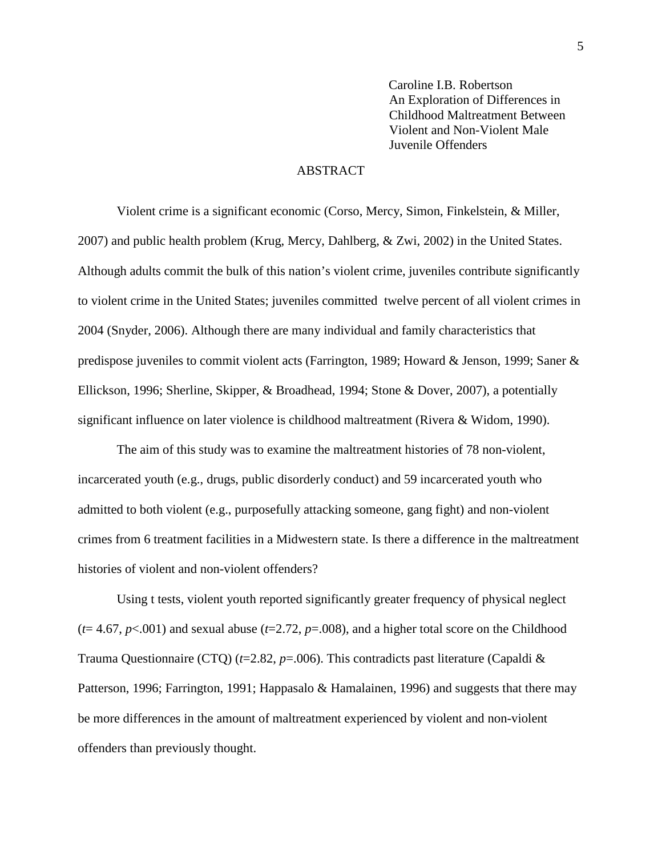Caroline I.B. Robertson An Exploration of Differences in Childhood Maltreatment Between Violent and Non-Violent Male Juvenile Offenders

#### ABSTRACT

Violent crime is a significant economic (Corso, Mercy, Simon, Finkelstein, & Miller, 2007) and public health problem (Krug, Mercy, Dahlberg, & Zwi, 2002) in the United States. Although adults commit the bulk of this nation's violent crime, juveniles contribute significantly to violent crime in the United States; juveniles committed twelve percent of all violent crimes in 2004 (Snyder, 2006). Although there are many individual and family characteristics that predispose juveniles to commit violent acts (Farrington, 1989; Howard & Jenson, 1999; Saner & Ellickson, 1996; Sherline, Skipper, & Broadhead, 1994; Stone & Dover, 2007), a potentially significant influence on later violence is childhood maltreatment (Rivera & Widom, 1990).

The aim of this study was to examine the maltreatment histories of 78 non-violent, incarcerated youth (e.g., drugs, public disorderly conduct) and 59 incarcerated youth who admitted to both violent (e.g., purposefully attacking someone, gang fight) and non-violent crimes from 6 treatment facilities in a Midwestern state. Is there a difference in the maltreatment histories of violent and non-violent offenders?

Using t tests, violent youth reported significantly greater frequency of physical neglect  $(t=4.67, p<.001)$  and sexual abuse  $(t=2.72, p=.008)$ , and a higher total score on the Childhood Trauma Questionnaire (CTQ) (*t*=2.82, *p*=.006). This contradicts past literature (Capaldi & Patterson, 1996; Farrington, 1991; Happasalo & Hamalainen, 1996) and suggests that there may be more differences in the amount of maltreatment experienced by violent and non-violent offenders than previously thought.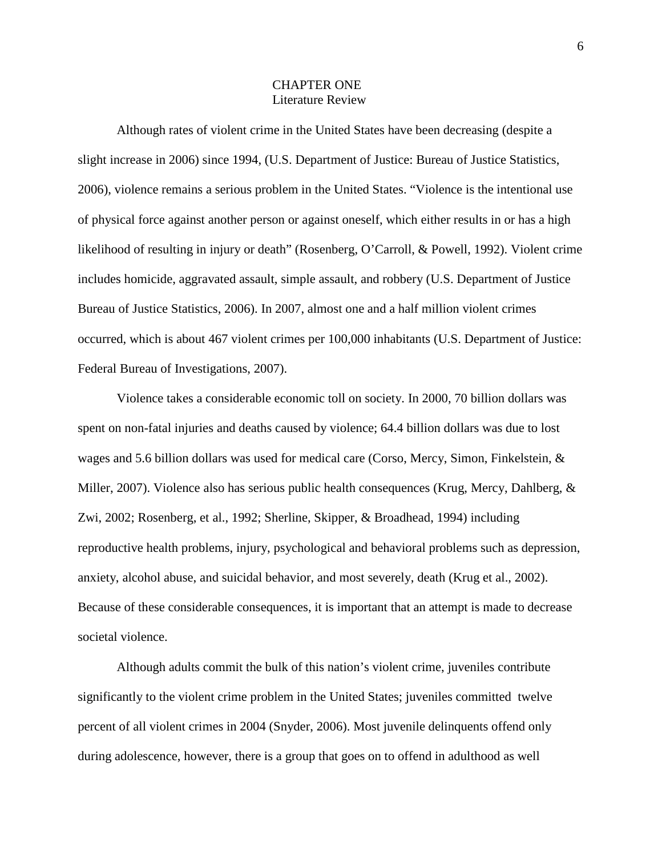## CHAPTER ONE Literature Review

Although rates of violent crime in the United States have been decreasing (despite a slight increase in 2006) since 1994, (U.S. Department of Justice: Bureau of Justice Statistics, 2006), violence remains a serious problem in the United States. "Violence is the intentional use of physical force against another person or against oneself, which either results in or has a high likelihood of resulting in injury or death" (Rosenberg, O'Carroll, & Powell, 1992). Violent crime includes homicide, aggravated assault, simple assault, and robbery (U.S. Department of Justice Bureau of Justice Statistics, 2006). In 2007, almost one and a half million violent crimes occurred, which is about 467 violent crimes per 100,000 inhabitants (U.S. Department of Justice: Federal Bureau of Investigations, 2007).

Violence takes a considerable economic toll on society. In 2000, 70 billion dollars was spent on non-fatal injuries and deaths caused by violence; 64.4 billion dollars was due to lost wages and 5.6 billion dollars was used for medical care (Corso, Mercy, Simon, Finkelstein, & Miller, 2007). Violence also has serious public health consequences (Krug, Mercy, Dahlberg, & Zwi, 2002; Rosenberg, et al., 1992; Sherline, Skipper, & Broadhead, 1994) including reproductive health problems, injury, psychological and behavioral problems such as depression, anxiety, alcohol abuse, and suicidal behavior, and most severely, death (Krug et al., 2002). Because of these considerable consequences, it is important that an attempt is made to decrease societal violence.

Although adults commit the bulk of this nation's violent crime, juveniles contribute significantly to the violent crime problem in the United States; juveniles committed twelve percent of all violent crimes in 2004 (Snyder, 2006). Most juvenile delinquents offend only during adolescence, however, there is a group that goes on to offend in adulthood as well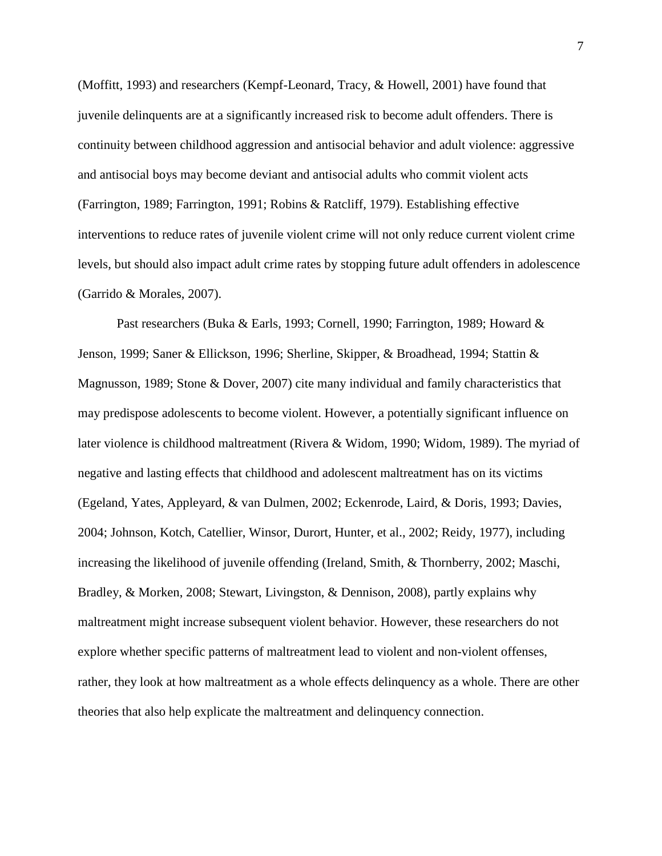(Moffitt, 1993) and researchers (Kempf-Leonard, Tracy, & Howell, 2001) have found that juvenile delinquents are at a significantly increased risk to become adult offenders. There is continuity between childhood aggression and antisocial behavior and adult violence: aggressive and antisocial boys may become deviant and antisocial adults who commit violent acts (Farrington, 1989; Farrington, 1991; Robins & Ratcliff, 1979). Establishing effective interventions to reduce rates of juvenile violent crime will not only reduce current violent crime levels, but should also impact adult crime rates by stopping future adult offenders in adolescence (Garrido & Morales, 2007).

Past researchers (Buka & Earls, 1993; Cornell, 1990; Farrington, 1989; Howard & Jenson, 1999; Saner & Ellickson, 1996; Sherline, Skipper, & Broadhead, 1994; Stattin & Magnusson, 1989; Stone & Dover, 2007) cite many individual and family characteristics that may predispose adolescents to become violent. However, a potentially significant influence on later violence is childhood maltreatment (Rivera & Widom, 1990; Widom, 1989). The myriad of negative and lasting effects that childhood and adolescent maltreatment has on its victims (Egeland, Yates, Appleyard, & van Dulmen, 2002; Eckenrode, Laird, & Doris, 1993; Davies, 2004; Johnson, Kotch, Catellier, Winsor, Durort, Hunter, et al., 2002; Reidy, 1977), including increasing the likelihood of juvenile offending (Ireland, Smith, & Thornberry, 2002; Maschi, Bradley, & Morken, 2008; Stewart, Livingston, & Dennison, 2008), partly explains why maltreatment might increase subsequent violent behavior. However, these researchers do not explore whether specific patterns of maltreatment lead to violent and non-violent offenses, rather, they look at how maltreatment as a whole effects delinquency as a whole. There are other theories that also help explicate the maltreatment and delinquency connection.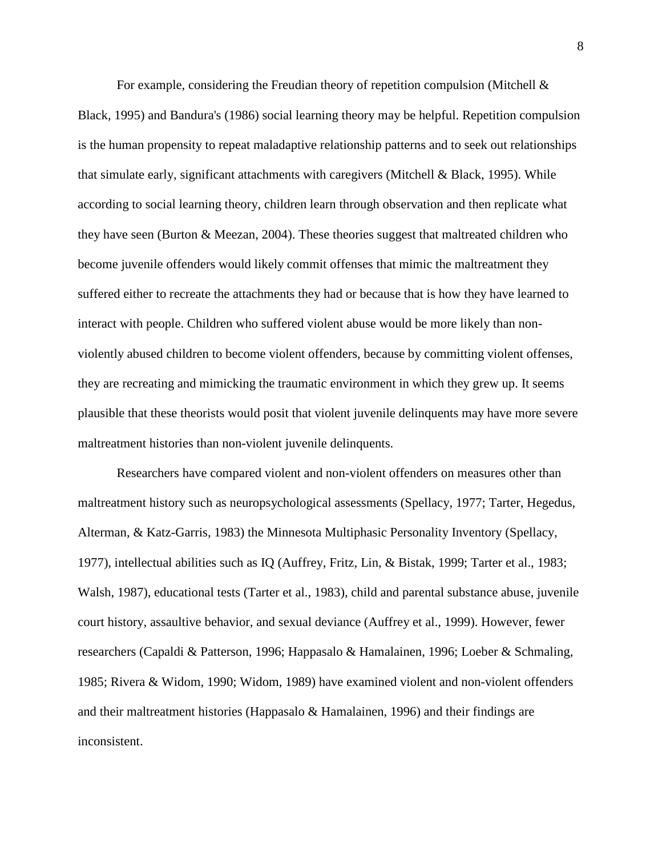For example, considering the Freudian theory of repetition compulsion (Mitchell  $\&$ Black, 1995) and Bandura's (1986) social learning theory may be helpful. Repetition compulsion is the human propensity to repeat maladaptive relationship patterns and to seek out relationships that simulate early, significant attachments with caregivers (Mitchell & Black, 1995). While according to social learning theory, children learn through observation and then replicate what they have seen (Burton & Meezan, 2004). These theories suggest that maltreated children who become juvenile offenders would likely commit offenses that mimic the maltreatment they suffered either to recreate the attachments they had or because that is how they have learned to interact with people. Children who suffered violent abuse would be more likely than nonviolently abused children to become violent offenders, because by committing violent offenses, they are recreating and mimicking the traumatic environment in which they grew up. It seems plausible that these theorists would posit that violent juvenile delinquents may have more severe maltreatment histories than non-violent juvenile delinquents.

Researchers have compared violent and non-violent offenders on measures other than maltreatment history such as neuropsychological assessments (Spellacy, 1977; Tarter, Hegedus, Alterman, & Katz-Garris, 1983) the Minnesota Multiphasic Personality Inventory (Spellacy, 1977), intellectual abilities such as IQ (Auffrey, Fritz, Lin, & Bistak, 1999; Tarter et al., 1983; Walsh, 1987), educational tests (Tarter et al., 1983), child and parental substance abuse, juvenile court history, assaultive behavior, and sexual deviance (Auffrey et al., 1999). However, fewer researchers (Capaldi & Patterson, 1996; Happasalo & Hamalainen, 1996; Loeber & Schmaling, 1985; Rivera & Widom, 1990; Widom, 1989) have examined violent and non-violent offenders and their maltreatment histories (Happasalo & Hamalainen, 1996) and their findings are inconsistent.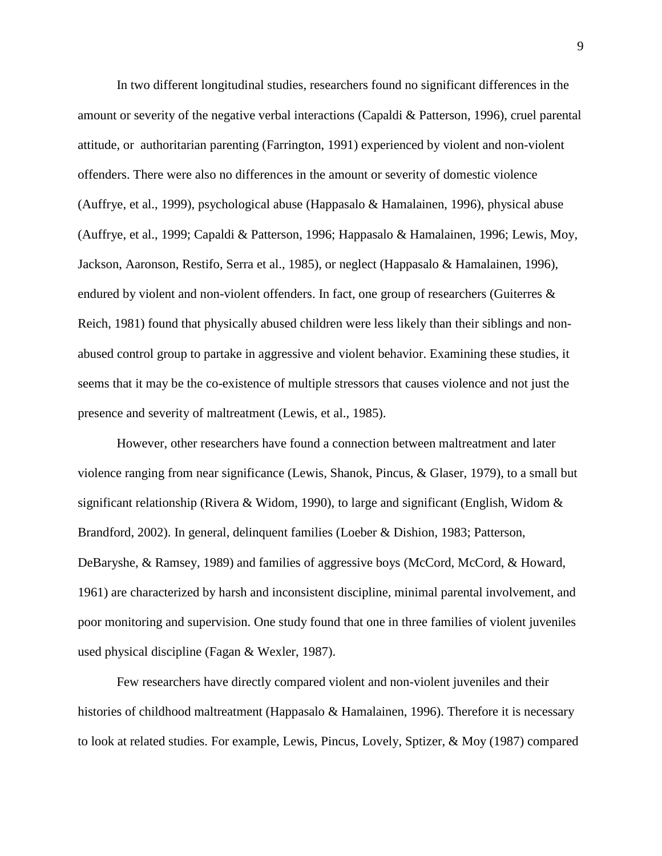In two different longitudinal studies, researchers found no significant differences in the amount or severity of the negative verbal interactions (Capaldi & Patterson, 1996), cruel parental attitude, or authoritarian parenting (Farrington, 1991) experienced by violent and non-violent offenders. There were also no differences in the amount or severity of domestic violence (Auffrye, et al., 1999), psychological abuse (Happasalo & Hamalainen, 1996), physical abuse (Auffrye, et al., 1999; Capaldi & Patterson, 1996; Happasalo & Hamalainen, 1996; Lewis, Moy, Jackson, Aaronson, Restifo, Serra et al., 1985), or neglect (Happasalo & Hamalainen, 1996), endured by violent and non-violent offenders. In fact, one group of researchers (Guiterres & Reich, 1981) found that physically abused children were less likely than their siblings and nonabused control group to partake in aggressive and violent behavior. Examining these studies, it seems that it may be the co-existence of multiple stressors that causes violence and not just the presence and severity of maltreatment (Lewis, et al., 1985).

However, other researchers have found a connection between maltreatment and later violence ranging from near significance (Lewis, Shanok, Pincus, & Glaser, 1979), to a small but significant relationship (Rivera & Widom, 1990), to large and significant (English, Widom & Brandford, 2002). In general, delinquent families (Loeber & Dishion, 1983; Patterson, DeBaryshe, & Ramsey, 1989) and families of aggressive boys (McCord, McCord, & Howard, 1961) are characterized by harsh and inconsistent discipline, minimal parental involvement, and poor monitoring and supervision. One study found that one in three families of violent juveniles used physical discipline (Fagan & Wexler, 1987).

Few researchers have directly compared violent and non-violent juveniles and their histories of childhood maltreatment (Happasalo & Hamalainen, 1996). Therefore it is necessary to look at related studies. For example, Lewis, Pincus, Lovely, Sptizer, & Moy (1987) compared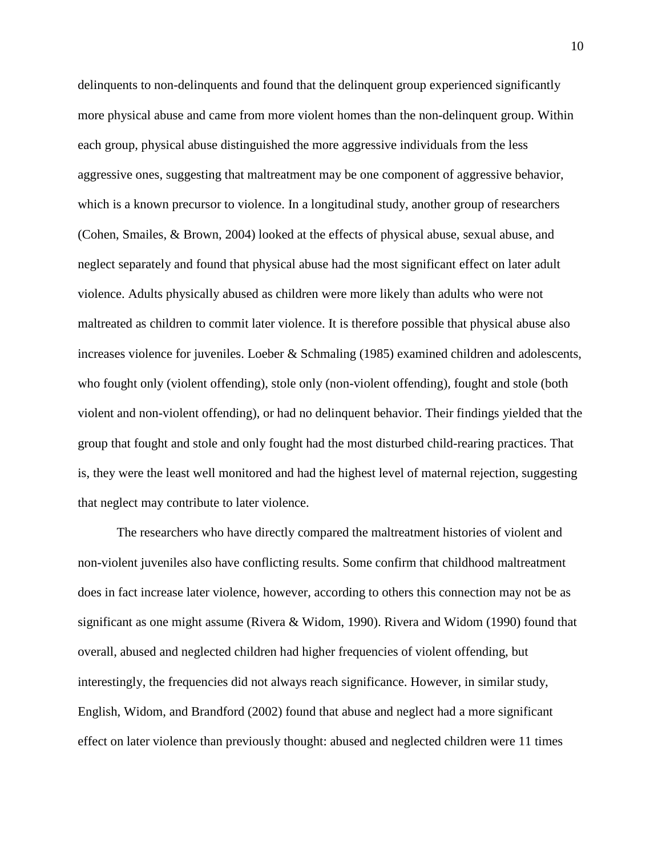delinquents to non-delinquents and found that the delinquent group experienced significantly more physical abuse and came from more violent homes than the non-delinquent group. Within each group, physical abuse distinguished the more aggressive individuals from the less aggressive ones, suggesting that maltreatment may be one component of aggressive behavior, which is a known precursor to violence. In a longitudinal study, another group of researchers (Cohen, Smailes, & Brown, 2004) looked at the effects of physical abuse, sexual abuse, and neglect separately and found that physical abuse had the most significant effect on later adult violence. Adults physically abused as children were more likely than adults who were not maltreated as children to commit later violence. It is therefore possible that physical abuse also increases violence for juveniles. Loeber & Schmaling (1985) examined children and adolescents, who fought only (violent offending), stole only (non-violent offending), fought and stole (both violent and non-violent offending), or had no delinquent behavior. Their findings yielded that the group that fought and stole and only fought had the most disturbed child-rearing practices. That is, they were the least well monitored and had the highest level of maternal rejection, suggesting that neglect may contribute to later violence.

The researchers who have directly compared the maltreatment histories of violent and non-violent juveniles also have conflicting results. Some confirm that childhood maltreatment does in fact increase later violence, however, according to others this connection may not be as significant as one might assume (Rivera & Widom, 1990). Rivera and Widom (1990) found that overall, abused and neglected children had higher frequencies of violent offending, but interestingly, the frequencies did not always reach significance. However, in similar study, English, Widom, and Brandford (2002) found that abuse and neglect had a more significant effect on later violence than previously thought: abused and neglected children were 11 times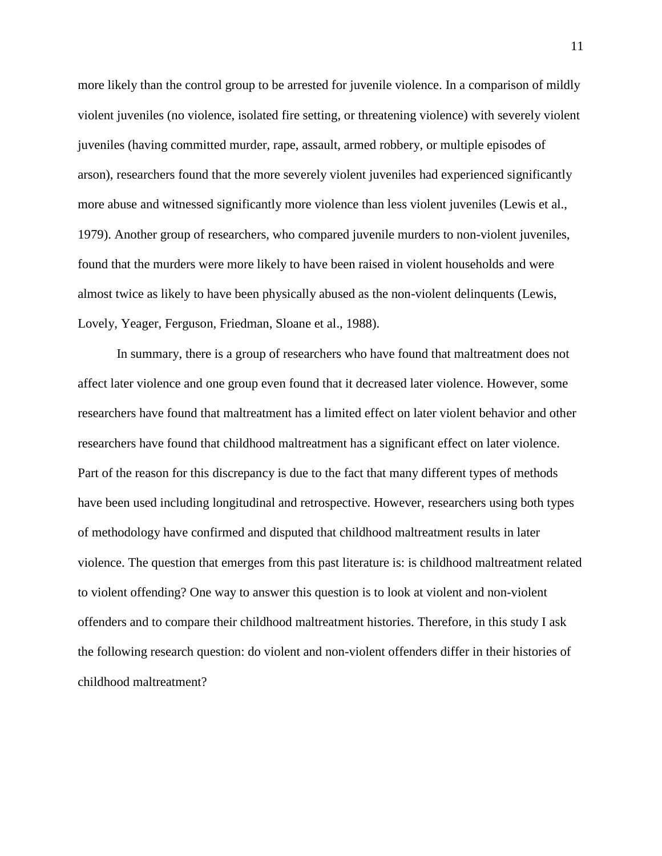more likely than the control group to be arrested for juvenile violence. In a comparison of mildly violent juveniles (no violence, isolated fire setting, or threatening violence) with severely violent juveniles (having committed murder, rape, assault, armed robbery, or multiple episodes of arson), researchers found that the more severely violent juveniles had experienced significantly more abuse and witnessed significantly more violence than less violent juveniles (Lewis et al., 1979). Another group of researchers, who compared juvenile murders to non-violent juveniles, found that the murders were more likely to have been raised in violent households and were almost twice as likely to have been physically abused as the non-violent delinquents (Lewis, Lovely, Yeager, Ferguson, Friedman, Sloane et al., 1988).

In summary, there is a group of researchers who have found that maltreatment does not affect later violence and one group even found that it decreased later violence. However, some researchers have found that maltreatment has a limited effect on later violent behavior and other researchers have found that childhood maltreatment has a significant effect on later violence. Part of the reason for this discrepancy is due to the fact that many different types of methods have been used including longitudinal and retrospective. However, researchers using both types of methodology have confirmed and disputed that childhood maltreatment results in later violence. The question that emerges from this past literature is: is childhood maltreatment related to violent offending? One way to answer this question is to look at violent and non-violent offenders and to compare their childhood maltreatment histories. Therefore, in this study I ask the following research question: do violent and non-violent offenders differ in their histories of childhood maltreatment?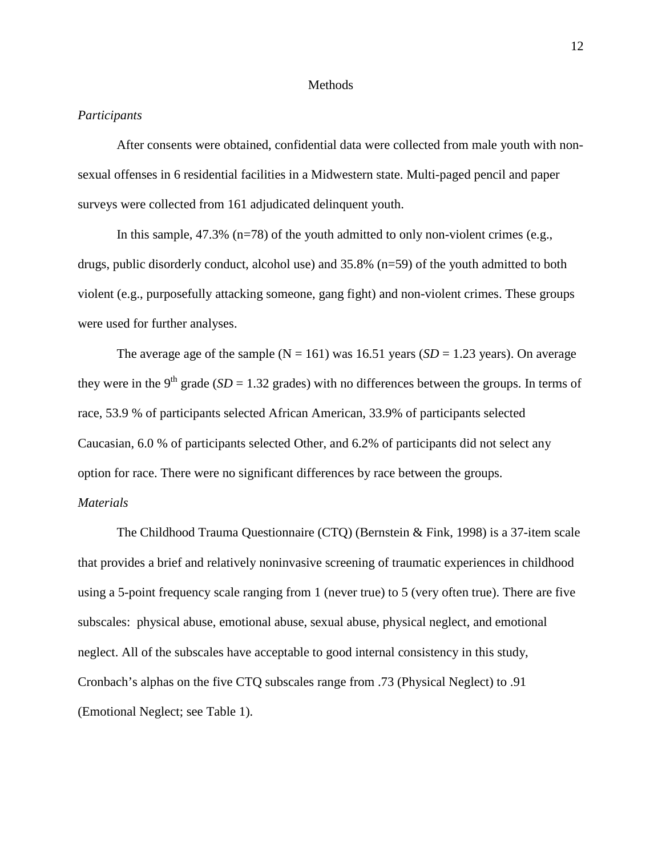#### **Methods**

#### *Participants*

After consents were obtained, confidential data were collected from male youth with nonsexual offenses in 6 residential facilities in a Midwestern state. Multi-paged pencil and paper surveys were collected from 161 adjudicated delinquent youth.

In this sample,  $47.3\%$  (n=78) of the youth admitted to only non-violent crimes (e.g., drugs, public disorderly conduct, alcohol use) and 35.8% (n=59) of the youth admitted to both violent (e.g., purposefully attacking someone, gang fight) and non-violent crimes. These groups were used for further analyses.

The average age of the sample ( $N = 161$ ) was 16.51 years (*SD* = 1.23 years). On average they were in the 9<sup>th</sup> grade (*SD* = 1.32 grades) with no differences between the groups. In terms of race, 53.9 % of participants selected African American, 33.9% of participants selected Caucasian, 6.0 % of participants selected Other, and 6.2% of participants did not select any option for race. There were no significant differences by race between the groups.

# *Materials*

The Childhood Trauma Questionnaire (CTQ) (Bernstein & Fink, 1998) is a 37-item scale that provides a brief and relatively noninvasive screening of traumatic experiences in childhood using a 5-point frequency scale ranging from 1 (never true) to 5 (very often true). There are five subscales: physical abuse, emotional abuse, sexual abuse, physical neglect, and emotional neglect. All of the subscales have acceptable to good internal consistency in this study, Cronbach's alphas on the five CTQ subscales range from .73 (Physical Neglect) to .91 (Emotional Neglect; see Table 1).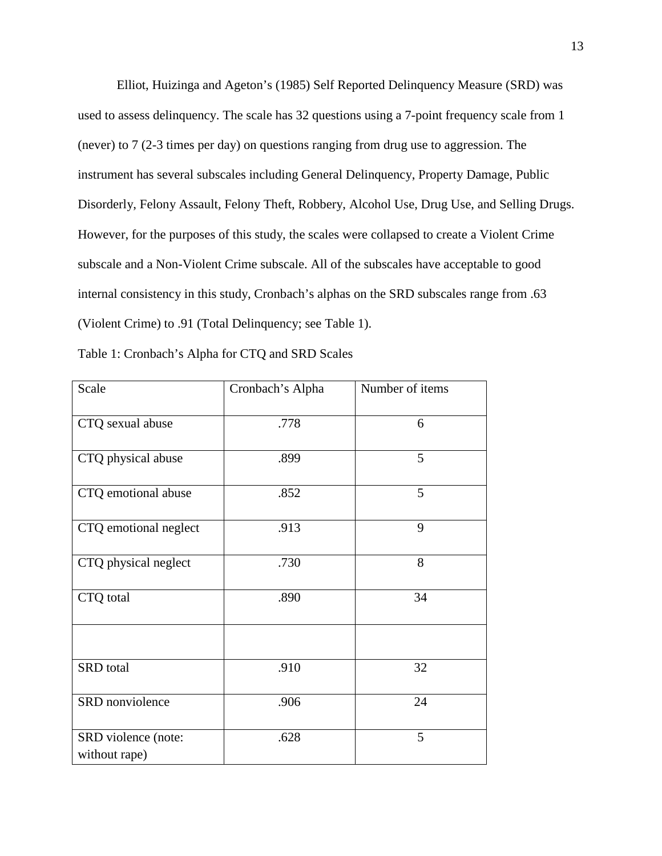Elliot, Huizinga and Ageton's (1985) Self Reported Delinquency Measure (SRD) was used to assess delinquency. The scale has 32 questions using a 7-point frequency scale from 1 (never) to 7 (2-3 times per day) on questions ranging from drug use to aggression. The instrument has several subscales including General Delinquency, Property Damage, Public Disorderly, Felony Assault, Felony Theft, Robbery, Alcohol Use, Drug Use, and Selling Drugs. However, for the purposes of this study, the scales were collapsed to create a Violent Crime subscale and a Non-Violent Crime subscale. All of the subscales have acceptable to good internal consistency in this study, Cronbach's alphas on the SRD subscales range from .63 (Violent Crime) to .91 (Total Delinquency; see Table 1).

| Table 1: Cronbach's Alpha for CTQ and SRD Scales |
|--------------------------------------------------|
|--------------------------------------------------|

| Scale                                | Cronbach's Alpha | Number of items |
|--------------------------------------|------------------|-----------------|
| CTQ sexual abuse                     | .778             | 6               |
| CTQ physical abuse                   | .899             | 5               |
| CTQ emotional abuse                  | .852             | 5               |
| CTQ emotional neglect                | .913             | 9               |
| CTQ physical neglect                 | .730             | 8               |
| CTQ total                            | .890             | 34              |
|                                      |                  |                 |
| SRD total                            | .910             | 32              |
| SRD nonviolence                      | .906             | 24              |
| SRD violence (note:<br>without rape) | .628             | 5               |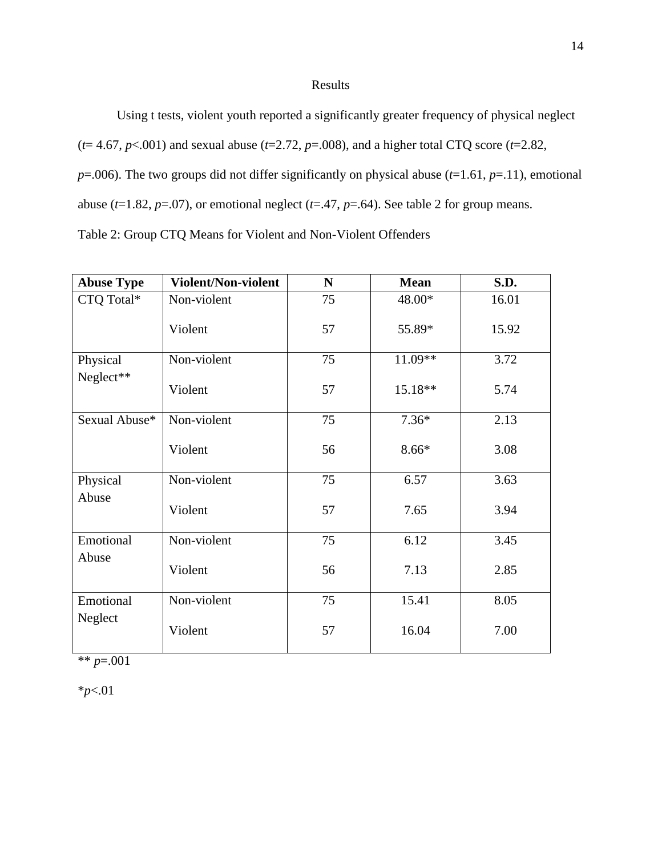#### Results

Using t tests, violent youth reported a significantly greater frequency of physical neglect  $(t= 4.67, p<.001)$  and sexual abuse  $(t=2.72, p=.008)$ , and a higher total CTQ score  $(t=2.82, p=.008)$  $p=0.006$ ). The two groups did not differ significantly on physical abuse ( $t=1.61$ ,  $p=0.11$ ), emotional abuse ( $t=1.82$ ,  $p=.07$ ), or emotional neglect ( $t=.47$ ,  $p=.64$ ). See table 2 for group means. Table 2: Group CTQ Means for Violent and Non-Violent Offenders

**Abuse Type Violent/Non-violent N Mean S.D.** CTQ Total\* Non-violent Violent 75 57 48.00\* 55.89\* 16.01 15.92 Physical Neglect\*\* Non-violent Violent 75 57 11.09\*\* 15.18\*\* 3.72 5.74 Sexual Abuse\* Non-violent Violent 75 56 7.36\* 8.66\* 2.13 3.08 Physical Abuse Non-violent Violent 75 57 6.57 7.65 3.63 3.94 Emotional Abuse Non-violent Violent 75 56 6.12 7.13 3.45 2.85 Emotional Neglect Non-violent Violent 75 57 15.41 16.04 8.05 7.00

\*\* *p*=.001

\**p*<.01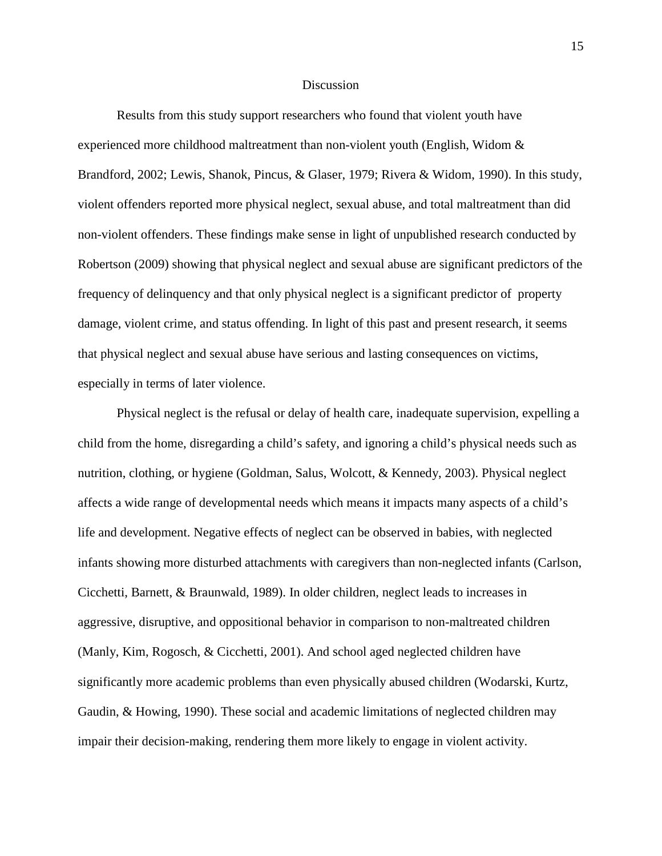#### **Discussion**

Results from this study support researchers who found that violent youth have experienced more childhood maltreatment than non-violent youth (English, Widom & Brandford, 2002; Lewis, Shanok, Pincus, & Glaser, 1979; Rivera & Widom, 1990). In this study, violent offenders reported more physical neglect, sexual abuse, and total maltreatment than did non-violent offenders. These findings make sense in light of unpublished research conducted by Robertson (2009) showing that physical neglect and sexual abuse are significant predictors of the frequency of delinquency and that only physical neglect is a significant predictor of property damage, violent crime, and status offending. In light of this past and present research, it seems that physical neglect and sexual abuse have serious and lasting consequences on victims, especially in terms of later violence.

Physical neglect is the refusal or delay of health care, inadequate supervision, expelling a child from the home, disregarding a child's safety, and ignoring a child's physical needs such as nutrition, clothing, or hygiene (Goldman, Salus, Wolcott, & Kennedy, 2003). Physical neglect affects a wide range of developmental needs which means it impacts many aspects of a child's life and development. Negative effects of neglect can be observed in babies, with neglected infants showing more disturbed attachments with caregivers than non-neglected infants (Carlson, Cicchetti, Barnett, & Braunwald, 1989). In older children, neglect leads to increases in aggressive, disruptive, and oppositional behavior in comparison to non-maltreated children (Manly, Kim, Rogosch, & Cicchetti, 2001). And school aged neglected children have significantly more academic problems than even physically abused children (Wodarski, Kurtz, Gaudin, & Howing, 1990). These social and academic limitations of neglected children may impair their decision-making, rendering them more likely to engage in violent activity.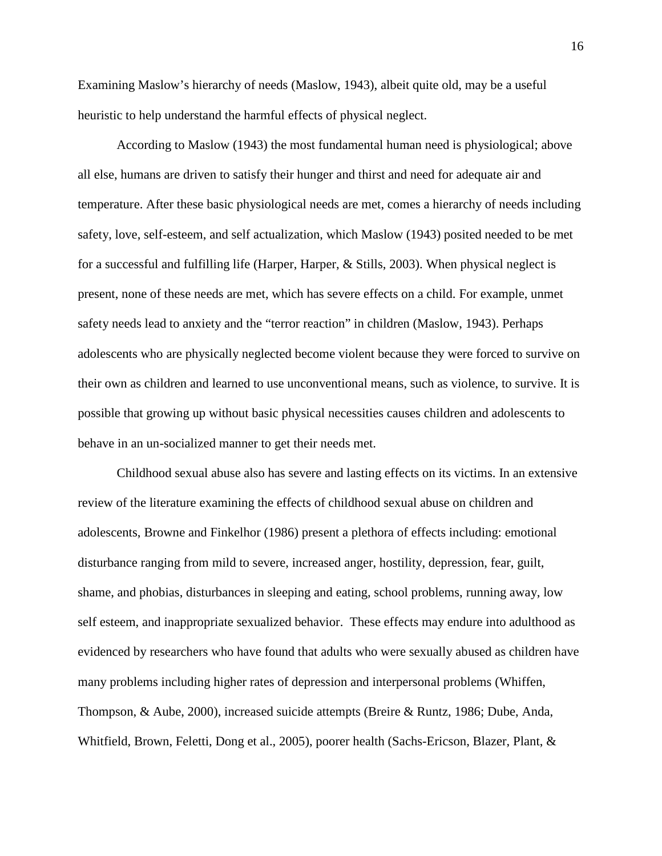Examining Maslow's hierarchy of needs (Maslow, 1943), albeit quite old, may be a useful heuristic to help understand the harmful effects of physical neglect.

According to Maslow (1943) the most fundamental human need is physiological; above all else, humans are driven to satisfy their hunger and thirst and need for adequate air and temperature. After these basic physiological needs are met, comes a hierarchy of needs including safety, love, self-esteem, and self actualization, which Maslow (1943) posited needed to be met for a successful and fulfilling life (Harper, Harper, & Stills, 2003). When physical neglect is present, none of these needs are met, which has severe effects on a child. For example, unmet safety needs lead to anxiety and the "terror reaction" in children (Maslow, 1943). Perhaps adolescents who are physically neglected become violent because they were forced to survive on their own as children and learned to use unconventional means, such as violence, to survive. It is possible that growing up without basic physical necessities causes children and adolescents to behave in an un-socialized manner to get their needs met.

Childhood sexual abuse also has severe and lasting effects on its victims. In an extensive review of the literature examining the effects of childhood sexual abuse on children and adolescents, Browne and Finkelhor (1986) present a plethora of effects including: emotional disturbance ranging from mild to severe, increased anger, hostility, depression, fear, guilt, shame, and phobias, disturbances in sleeping and eating, school problems, running away, low self esteem, and inappropriate sexualized behavior. These effects may endure into adulthood as evidenced by researchers who have found that adults who were sexually abused as children have many problems including higher rates of depression and interpersonal problems (Whiffen, Thompson, & Aube, 2000), increased suicide attempts (Breire & Runtz, 1986; Dube, Anda, Whitfield, Brown, Feletti, Dong et al., 2005), poorer health (Sachs-Ericson, Blazer, Plant, &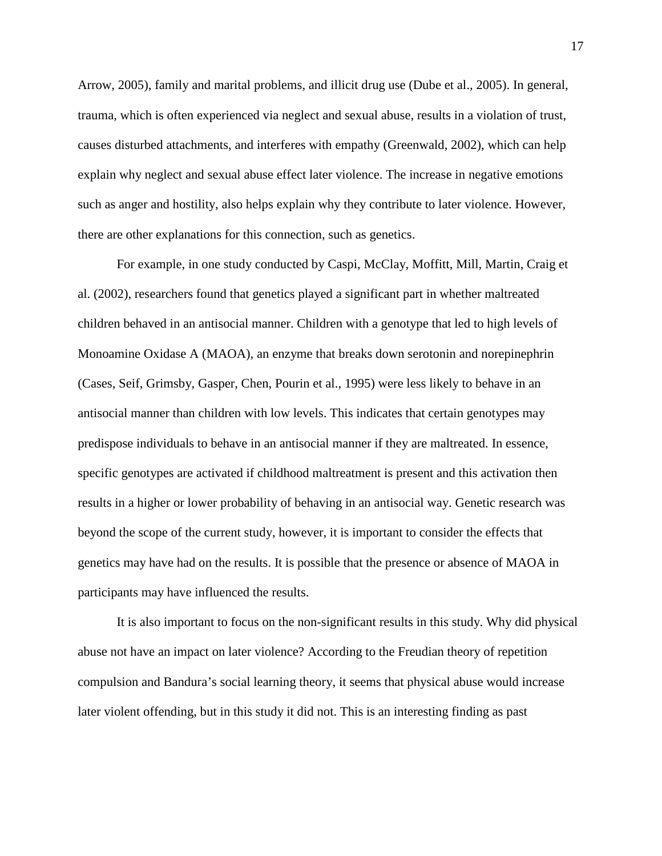Arrow, 2005), family and marital problems, and illicit drug use (Dube et al., 2005). In general, trauma, which is often experienced via neglect and sexual abuse, results in a violation of trust, causes disturbed attachments, and interferes with empathy (Greenwald, 2002), which can help explain why neglect and sexual abuse effect later violence. The increase in negative emotions such as anger and hostility, also helps explain why they contribute to later violence. However, there are other explanations for this connection, such as genetics.

For example, in one study conducted by Caspi, McClay, Moffitt, Mill, Martin, Craig et al. (2002), researchers found that genetics played a significant part in whether maltreated children behaved in an antisocial manner. Children with a genotype that led to high levels of Monoamine Oxidase A (MAOA), an enzyme that breaks down serotonin and norepinephrin (Cases, Seif, Grimsby, Gasper, Chen, Pourin et al., 1995) were less likely to behave in an antisocial manner than children with low levels. This indicates that certain genotypes may predispose individuals to behave in an antisocial manner if they are maltreated. In essence, specific genotypes are activated if childhood maltreatment is present and this activation then results in a higher or lower probability of behaving in an antisocial way. Genetic research was beyond the scope of the current study, however, it is important to consider the effects that genetics may have had on the results. It is possible that the presence or absence of MAOA in participants may have influenced the results.

It is also important to focus on the non-significant results in this study. Why did physical abuse not have an impact on later violence? According to the Freudian theory of repetition compulsion and Bandura's social learning theory, it seems that physical abuse would increase later violent offending, but in this study it did not. This is an interesting finding as past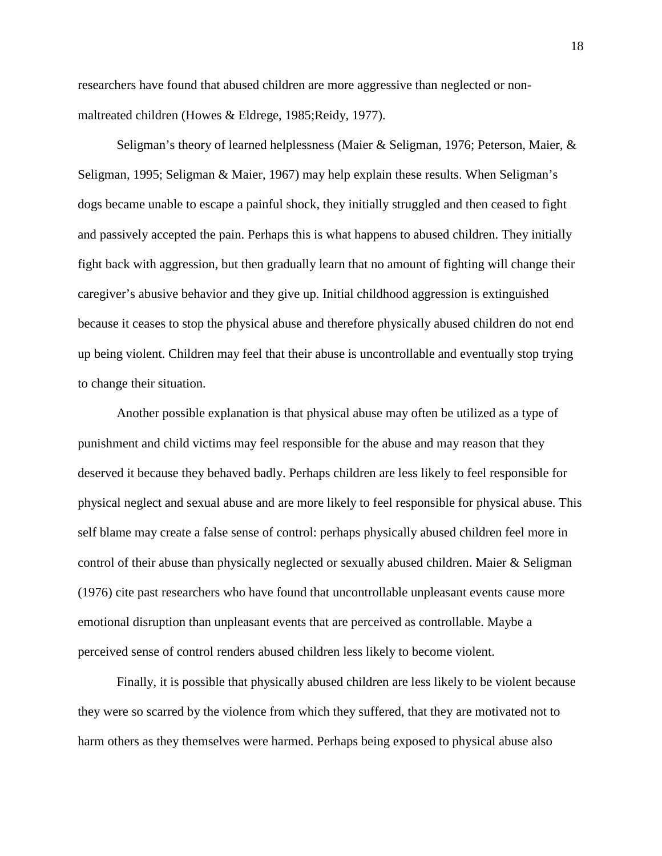researchers have found that abused children are more aggressive than neglected or nonmaltreated children (Howes & Eldrege, 1985;Reidy, 1977).

Seligman's theory of learned helplessness (Maier & Seligman, 1976; Peterson, Maier, & Seligman, 1995; Seligman & Maier, 1967) may help explain these results. When Seligman's dogs became unable to escape a painful shock, they initially struggled and then ceased to fight and passively accepted the pain. Perhaps this is what happens to abused children. They initially fight back with aggression, but then gradually learn that no amount of fighting will change their caregiver's abusive behavior and they give up. Initial childhood aggression is extinguished because it ceases to stop the physical abuse and therefore physically abused children do not end up being violent. Children may feel that their abuse is uncontrollable and eventually stop trying to change their situation.

Another possible explanation is that physical abuse may often be utilized as a type of punishment and child victims may feel responsible for the abuse and may reason that they deserved it because they behaved badly. Perhaps children are less likely to feel responsible for physical neglect and sexual abuse and are more likely to feel responsible for physical abuse. This self blame may create a false sense of control: perhaps physically abused children feel more in control of their abuse than physically neglected or sexually abused children. Maier  $\&$  Seligman (1976) cite past researchers who have found that uncontrollable unpleasant events cause more emotional disruption than unpleasant events that are perceived as controllable. Maybe a perceived sense of control renders abused children less likely to become violent.

Finally, it is possible that physically abused children are less likely to be violent because they were so scarred by the violence from which they suffered, that they are motivated not to harm others as they themselves were harmed. Perhaps being exposed to physical abuse also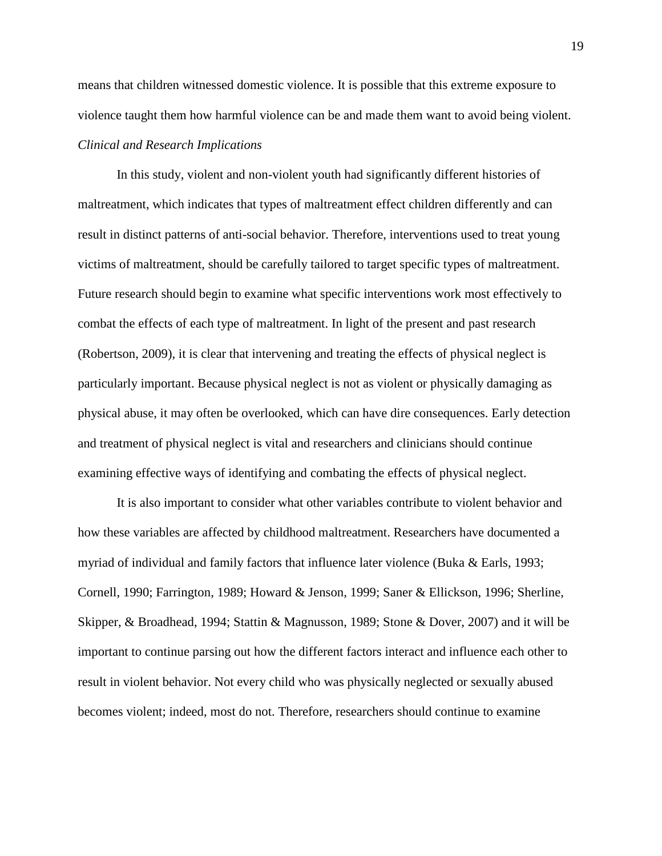means that children witnessed domestic violence. It is possible that this extreme exposure to violence taught them how harmful violence can be and made them want to avoid being violent. *Clinical and Research Implications* 

In this study, violent and non-violent youth had significantly different histories of maltreatment, which indicates that types of maltreatment effect children differently and can result in distinct patterns of anti-social behavior. Therefore, interventions used to treat young victims of maltreatment, should be carefully tailored to target specific types of maltreatment. Future research should begin to examine what specific interventions work most effectively to combat the effects of each type of maltreatment. In light of the present and past research (Robertson, 2009), it is clear that intervening and treating the effects of physical neglect is particularly important. Because physical neglect is not as violent or physically damaging as physical abuse, it may often be overlooked, which can have dire consequences. Early detection and treatment of physical neglect is vital and researchers and clinicians should continue examining effective ways of identifying and combating the effects of physical neglect.

It is also important to consider what other variables contribute to violent behavior and how these variables are affected by childhood maltreatment. Researchers have documented a myriad of individual and family factors that influence later violence (Buka & Earls, 1993; Cornell, 1990; Farrington, 1989; Howard & Jenson, 1999; Saner & Ellickson, 1996; Sherline, Skipper, & Broadhead, 1994; Stattin & Magnusson, 1989; Stone & Dover, 2007) and it will be important to continue parsing out how the different factors interact and influence each other to result in violent behavior. Not every child who was physically neglected or sexually abused becomes violent; indeed, most do not. Therefore, researchers should continue to examine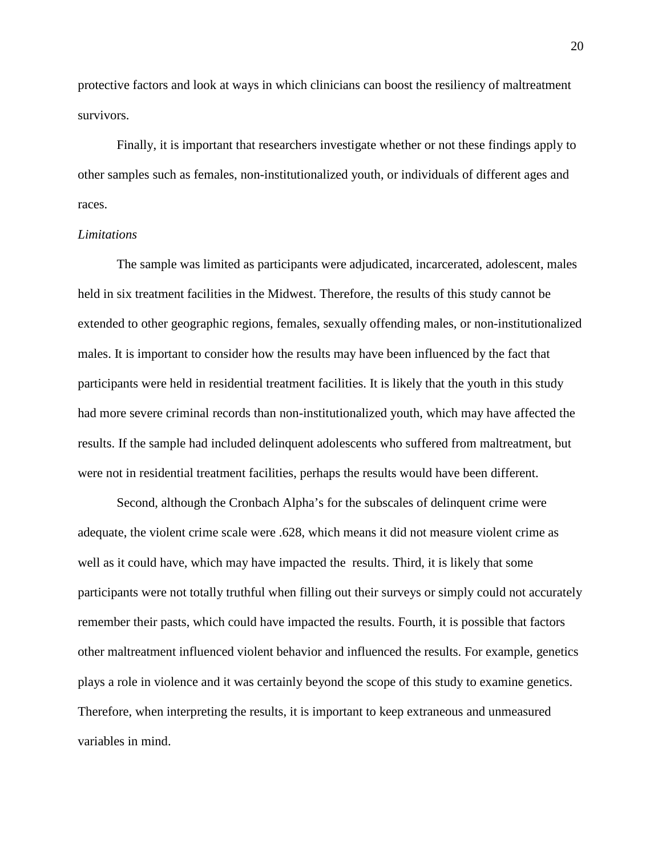protective factors and look at ways in which clinicians can boost the resiliency of maltreatment survivors.

Finally, it is important that researchers investigate whether or not these findings apply to other samples such as females, non-institutionalized youth, or individuals of different ages and races.

#### *Limitations*

The sample was limited as participants were adjudicated, incarcerated, adolescent, males held in six treatment facilities in the Midwest. Therefore, the results of this study cannot be extended to other geographic regions, females, sexually offending males, or non-institutionalized males. It is important to consider how the results may have been influenced by the fact that participants were held in residential treatment facilities. It is likely that the youth in this study had more severe criminal records than non-institutionalized youth, which may have affected the results. If the sample had included delinquent adolescents who suffered from maltreatment, but were not in residential treatment facilities, perhaps the results would have been different.

Second, although the Cronbach Alpha's for the subscales of delinquent crime were adequate, the violent crime scale were .628, which means it did not measure violent crime as well as it could have, which may have impacted the results. Third, it is likely that some participants were not totally truthful when filling out their surveys or simply could not accurately remember their pasts, which could have impacted the results. Fourth, it is possible that factors other maltreatment influenced violent behavior and influenced the results. For example, genetics plays a role in violence and it was certainly beyond the scope of this study to examine genetics. Therefore, when interpreting the results, it is important to keep extraneous and unmeasured variables in mind.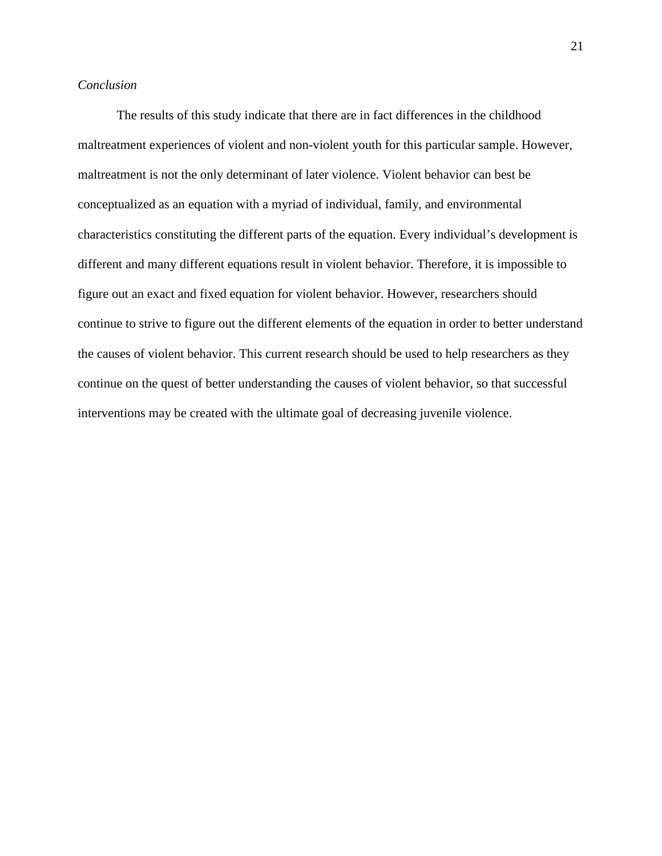### *Conclusion*

The results of this study indicate that there are in fact differences in the childhood maltreatment experiences of violent and non-violent youth for this particular sample. However, maltreatment is not the only determinant of later violence. Violent behavior can best be conceptualized as an equation with a myriad of individual, family, and environmental characteristics constituting the different parts of the equation. Every individual's development is different and many different equations result in violent behavior. Therefore, it is impossible to figure out an exact and fixed equation for violent behavior. However, researchers should continue to strive to figure out the different elements of the equation in order to better understand the causes of violent behavior. This current research should be used to help researchers as they continue on the quest of better understanding the causes of violent behavior, so that successful interventions may be created with the ultimate goal of decreasing juvenile violence.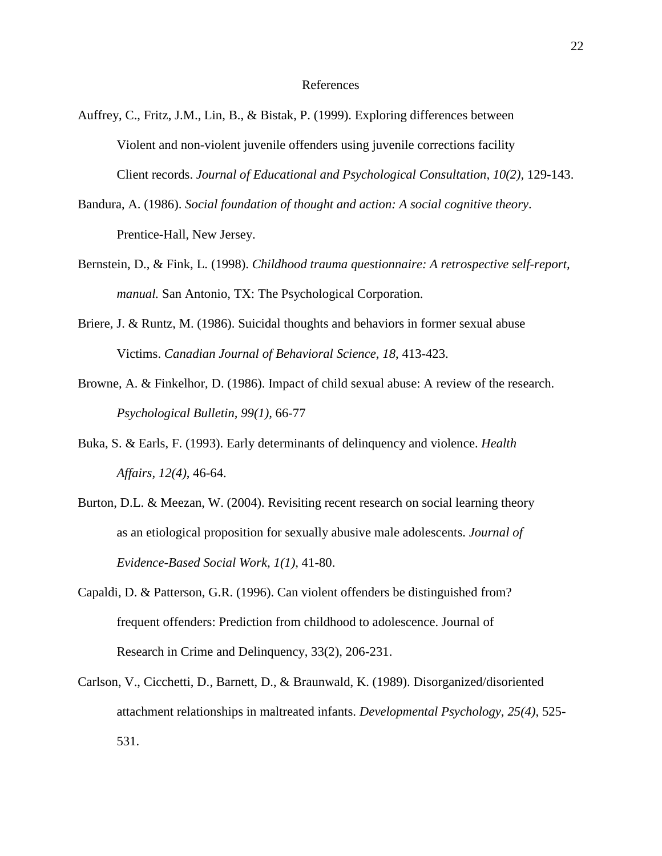- Auffrey, C., Fritz, J.M., Lin, B., & Bistak, P. (1999). Exploring differences between Violent and non-violent juvenile offenders using juvenile corrections facility Client records. *Journal of Educational and Psychological Consultation, 10(2),* 129-143.
- Bandura, A. (1986). *Social foundation of thought and action: A social cognitive theory*. Prentice-Hall, New Jersey.
- Bernstein, D., & Fink, L. (1998). *Childhood trauma questionnaire: A retrospective self-report, manual.* San Antonio, TX: The Psychological Corporation.
- Briere, J. & Runtz, M. (1986). Suicidal thoughts and behaviors in former sexual abuse Victims. *Canadian Journal of Behavioral Science, 18*, 413-423.
- Browne, A. & Finkelhor, D. (1986). Impact of child sexual abuse: A review of the research. *Psychological Bulletin, 99(1),* 66-77
- Buka, S. & Earls, F. (1993). Early determinants of delinquency and violence. *Health Affairs, 12(4)*, 46-64.
- Burton, D.L. & Meezan, W. (2004). Revisiting recent research on social learning theory as an etiological proposition for sexually abusive male adolescents. *Journal of Evidence-Based Social Work, 1(1),* 41-80.
- Capaldi, D. & Patterson, G.R. (1996). Can violent offenders be distinguished from? frequent offenders: Prediction from childhood to adolescence. Journal of Research in Crime and Delinquency, 33(2), 206-231.
- Carlson, V., Cicchetti, D., Barnett, D., & Braunwald, K. (1989). Disorganized/disoriented attachment relationships in maltreated infants. *Developmental Psychology, 25(4)*, 525- 531.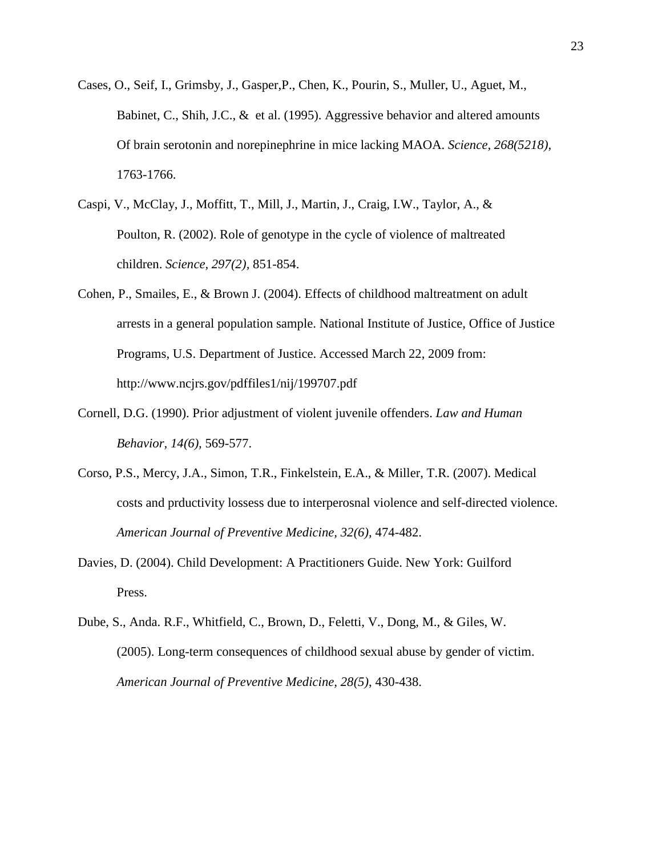- Cases, O., Seif, I., Grimsby, J., Gasper,P., Chen, K., Pourin, S., Muller, U., Aguet, M., Babinet, C., Shih, J.C.,  $\&$  et al. (1995). Aggressive behavior and altered amounts Of brain serotonin and norepinephrine in mice lacking MAOA. *Science, 268(5218),* 1763-1766.
- Caspi, V., McClay, J., Moffitt, T., Mill, J., Martin, J., Craig, I.W., Taylor, A., & Poulton, R. (2002). Role of genotype in the cycle of violence of maltreated children. *Science, 297(2),* 851-854.
- Cohen, P., Smailes, E., & Brown J. (2004). Effects of childhood maltreatment on adult arrests in a general population sample. National Institute of Justice, Office of Justice Programs, U.S. Department of Justice. Accessed March 22, 2009 from: http://www.ncjrs.gov/pdffiles1/nij/199707.pdf
- Cornell, D.G. (1990). Prior adjustment of violent juvenile offenders. *Law and Human Behavior, 14(6),* 569-577.
- Corso, P.S., Mercy, J.A., Simon, T.R., Finkelstein, E.A., & Miller, T.R. (2007). Medical costs and prductivity lossess due to interperosnal violence and self-directed violence. *American Journal of Preventive Medicine, 32(6),* 474-482.
- Davies, D. (2004). Child Development: A Practitioners Guide. New York: Guilford Press.
- Dube, S., Anda. R.F., Whitfield, C., Brown, D., Feletti, V., Dong, M., & Giles, W. (2005). Long-term consequences of childhood sexual abuse by gender of victim. *American Journal of Preventive Medicine, 28(5)*, 430-438.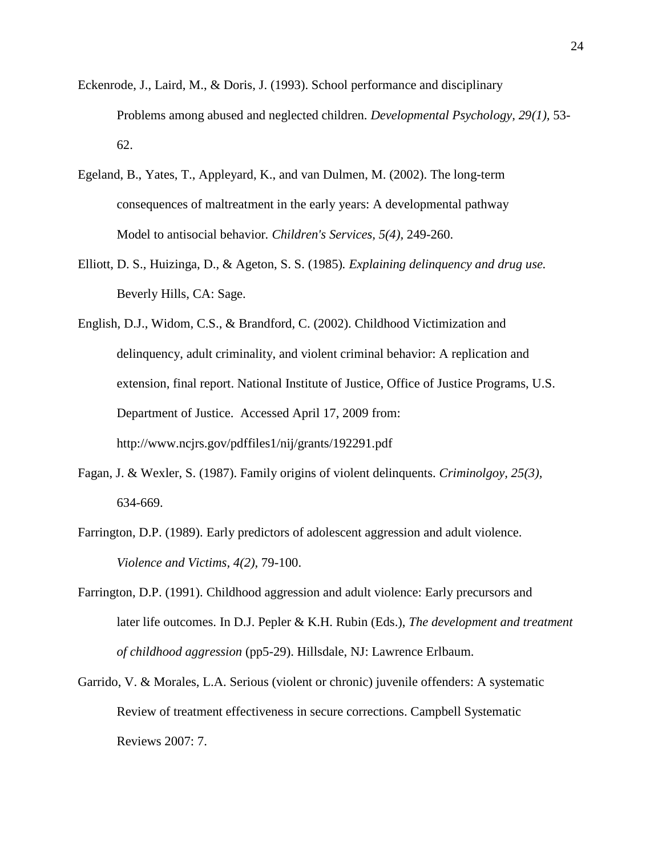- Eckenrode, J., Laird, M., & Doris, J. (1993). School performance and disciplinary Problems among abused and neglected children. *Developmental Psychology, 29(1),* 53- 62.
- Egeland, B., Yates, T., Appleyard, K., and van Dulmen, M. (2002). The long-term consequences of maltreatment in the early years: A developmental pathway Model to antisocial behavior*. Children's Services, 5(4),* 249-260.
- Elliott, D. S., Huizinga, D., & Ageton, S. S. (1985)*. Explaining delinquency and drug use.*  Beverly Hills, CA: Sage.
- English, D.J., Widom, C.S., & Brandford, C. (2002). Childhood Victimization and delinquency, adult criminality, and violent criminal behavior: A replication and extension, final report. National Institute of Justice, Office of Justice Programs, U.S. Department of Justice. Accessed April 17, 2009 from: http://www.ncjrs.gov/pdffiles1/nij/grants/192291.pdf
- Fagan, J. & Wexler, S. (1987). Family origins of violent delinquents. *Criminolgoy, 25(3),* 634-669.
- Farrington, D.P. (1989). Early predictors of adolescent aggression and adult violence. *Violence and Victims, 4(2),* 79-100.
- Farrington, D.P. (1991). Childhood aggression and adult violence: Early precursors and later life outcomes. In D.J. Pepler & K.H. Rubin (Eds.), *The development and treatment of childhood aggression* (pp5-29). Hillsdale, NJ: Lawrence Erlbaum.
- Garrido, V. & Morales, L.A. Serious (violent or chronic) juvenile offenders: A systematic Review of treatment effectiveness in secure corrections. Campbell Systematic Reviews 2007: 7.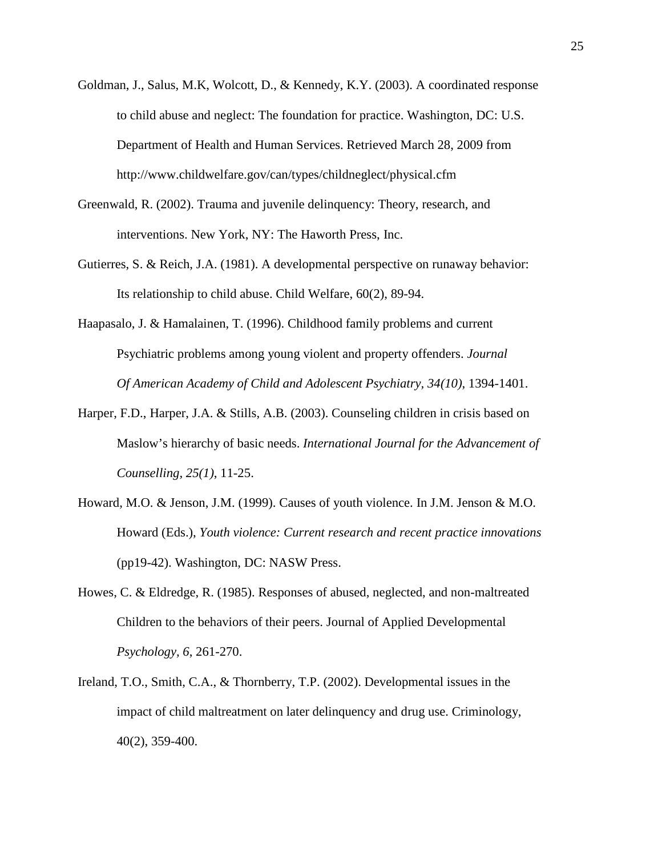- Goldman, J., Salus, M.K, Wolcott, D., & Kennedy, K.Y. (2003). A coordinated response to child abuse and neglect: The foundation for practice. Washington, DC: U.S. Department of Health and Human Services. Retrieved March 28, 2009 from http://www.childwelfare.gov/can/types/childneglect/physical.cfm
- Greenwald, R. (2002). Trauma and juvenile delinquency: Theory, research, and interventions. New York, NY: The Haworth Press, Inc.
- Gutierres, S. & Reich, J.A. (1981). A developmental perspective on runaway behavior: Its relationship to child abuse. Child Welfare, 60(2), 89-94.
- Haapasalo, J. & Hamalainen, T. (1996). Childhood family problems and current Psychiatric problems among young violent and property offenders. *Journal Of American Academy of Child and Adolescent Psychiatry, 34(10)*, 1394-1401.
- Harper, F.D., Harper, J.A. & Stills, A.B. (2003). Counseling children in crisis based on Maslow's hierarchy of basic needs. *International Journal for the Advancement of Counselling, 25(1)*, 11-25.
- Howard, M.O. & Jenson, J.M. (1999). Causes of youth violence. In J.M. Jenson & M.O. Howard (Eds.), *Youth violence: Current research and recent practice innovations* (pp19-42). Washington, DC: NASW Press.
- Howes, C. & Eldredge, R. (1985). Responses of abused, neglected, and non-maltreated Children to the behaviors of their peers. Journal of Applied Developmental *Psychology, 6*, 261-270.
- Ireland, T.O., Smith, C.A., & Thornberry, T.P. (2002). Developmental issues in the impact of child maltreatment on later delinquency and drug use. Criminology, 40(2), 359-400.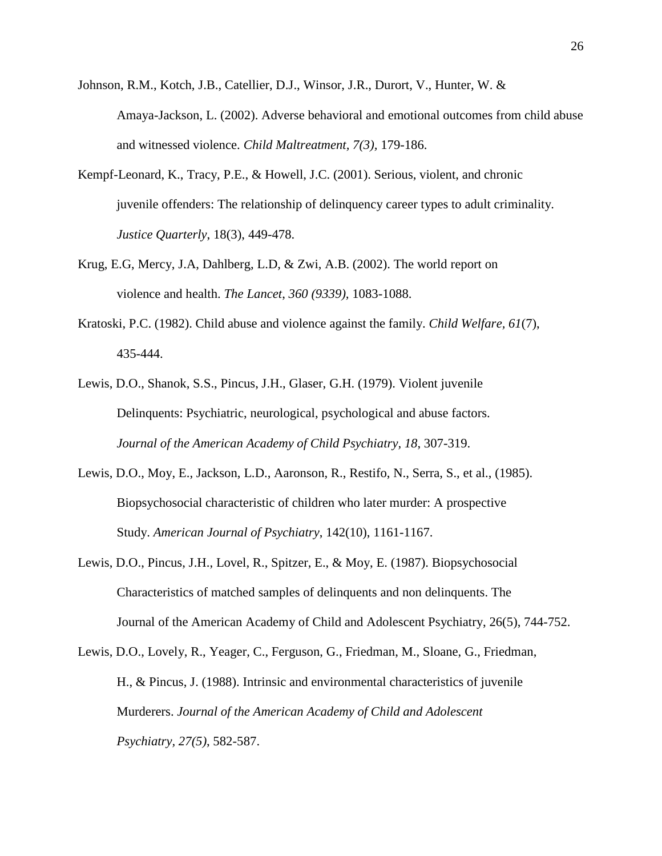- Johnson, R.M., Kotch, J.B., Catellier, D.J., Winsor, J.R., Durort, V., Hunter, W. & Amaya-Jackson, L. (2002). Adverse behavioral and emotional outcomes from child abuse and witnessed violence. *Child Maltreatment, 7(3),* 179-186.
- Kempf-Leonard, K., Tracy, P.E., & Howell, J.C. (2001). Serious, violent, and chronic juvenile offenders: The relationship of delinquency career types to adult criminality. *Justice Quarterly*, 18(3), 449-478.
- Krug, E.G, Mercy, J.A, Dahlberg, L.D, & Zwi, A.B. (2002). The world report on violence and health. *The Lancet*, *360 (9339),* 1083-1088.
- Kratoski, P.C. (1982). Child abuse and violence against the family. *Child Welfare, 61*(7), 435-444.
- Lewis, D.O., Shanok, S.S., Pincus, J.H., Glaser, G.H. (1979). Violent juvenile Delinquents: Psychiatric, neurological, psychological and abuse factors. *Journal of the American Academy of Child Psychiatry, 18*, 307-319.
- Lewis, D.O., Moy, E., Jackson, L.D., Aaronson, R., Restifo, N., Serra, S., et al., (1985). Biopsychosocial characteristic of children who later murder: A prospective Study. *American Journal of Psychiatry*, 142(10), 1161-1167.
- Lewis, D.O., Pincus, J.H., Lovel, R., Spitzer, E., & Moy, E. (1987). Biopsychosocial Characteristics of matched samples of delinquents and non delinquents. The Journal of the American Academy of Child and Adolescent Psychiatry, 26(5), 744-752.
- Lewis, D.O., Lovely, R., Yeager, C., Ferguson, G., Friedman, M., Sloane, G., Friedman, H., & Pincus, J. (1988). Intrinsic and environmental characteristics of juvenile Murderers. *Journal of the American Academy of Child and Adolescent Psychiatry, 27(5)*, 582-587.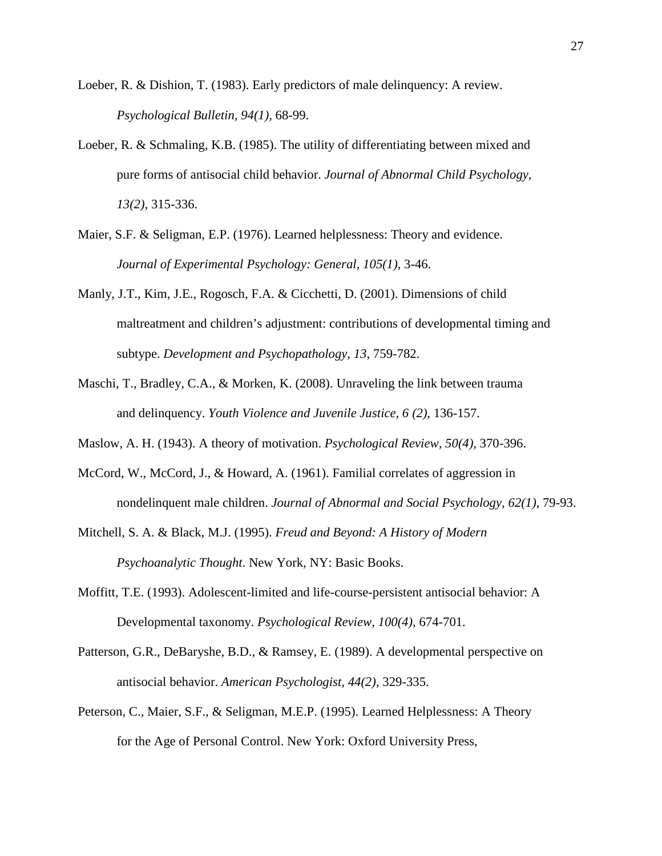- Loeber, R. & Dishion, T. (1983). Early predictors of male delinquency: A review. *Psychological Bulletin, 94(1),* 68-99.
- Loeber, R. & Schmaling, K.B. (1985). The utility of differentiating between mixed and pure forms of antisocial child behavior. *Journal of Abnormal Child Psychology, 13(2),* 315-336.
- Maier, S.F. & Seligman, E.P. (1976). Learned helplessness: Theory and evidence. *Journal of Experimental Psychology: General, 105(1),* 3-46.
- Manly, J.T., Kim, J.E., Rogosch, F.A. & Cicchetti, D. (2001). Dimensions of child maltreatment and children's adjustment: contributions of developmental timing and subtype. *Development and Psychopathology, 13*, 759-782.
- Maschi, T., Bradley, C.A., & Morken, K. (2008). Unraveling the link between trauma and delinquency. *Youth Violence and Juvenile Justice, 6 (2),* 136-157.
- Maslow, A. H. (1943). A theory of motivation. *Psychological Review, 50(4),* 370-396.
- McCord, W., McCord, J., & Howard, A. (1961). Familial correlates of aggression in nondelinquent male children. *Journal of Abnormal and Social Psychology, 62(1)*, 79-93.
- Mitchell, S. A. & Black, M.J. (1995). *Freud and Beyond: A History of Modern Psychoanalytic Thought*. New York, NY: Basic Books.
- Moffitt, T.E. (1993). Adolescent-limited and life-course-persistent antisocial behavior: A Developmental taxonomy. *Psychological Review, 100(4),* 674-701.
- Patterson, G.R., DeBaryshe, B.D., & Ramsey, E. (1989). A developmental perspective on antisocial behavior. *American Psychologist, 44(2),* 329-335.
- Peterson, C., Maier, S.F., & Seligman, M.E.P. (1995). Learned Helplessness: A Theory for the Age of Personal Control. New York: Oxford University Press,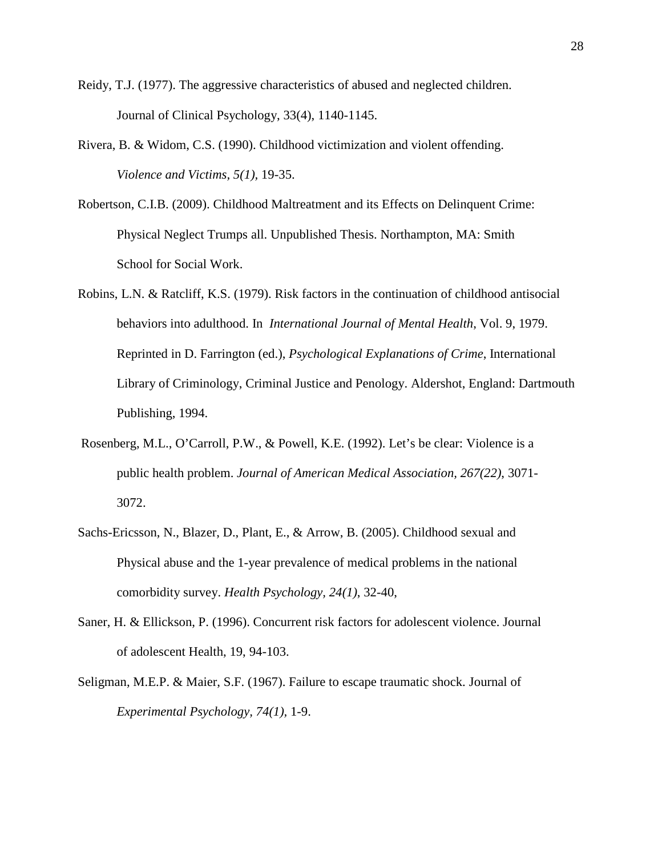- Reidy, T.J. (1977). The aggressive characteristics of abused and neglected children. Journal of Clinical Psychology, 33(4), 1140-1145.
- Rivera, B. & Widom, C.S. (1990). Childhood victimization and violent offending. *Violence and Victims, 5(1),* 19-35.
- Robertson, C.I.B. (2009). Childhood Maltreatment and its Effects on Delinquent Crime: Physical Neglect Trumps all. Unpublished Thesis. Northampton, MA: Smith School for Social Work.
- Robins, L.N. & Ratcliff, K.S. (1979). Risk factors in the continuation of childhood antisocial behaviors into adulthood. In *International Journal of Mental Health*, Vol. 9, 1979. Reprinted in D. Farrington (ed.), *Psychological Explanations of Crime*, International Library of Criminology, Criminal Justice and Penology. Aldershot, England: Dartmouth Publishing, 1994.
- Rosenberg, M.L., O'Carroll, P.W., & Powell, K.E. (1992). Let's be clear: Violence is a public health problem. *Journal of American Medical Association, 267(22)*, 3071- 3072.
- Sachs-Ericsson, N., Blazer, D., Plant, E., & Arrow, B. (2005). Childhood sexual and Physical abuse and the 1-year prevalence of medical problems in the national comorbidity survey. *Health Psychology, 24(1)*, 32-40,
- Saner, H. & Ellickson, P. (1996). Concurrent risk factors for adolescent violence. Journal of adolescent Health, 19, 94-103.
- Seligman, M.E.P. & Maier, S.F. (1967). Failure to escape traumatic shock. Journal of *Experimental Psychology, 74(1),* 1-9.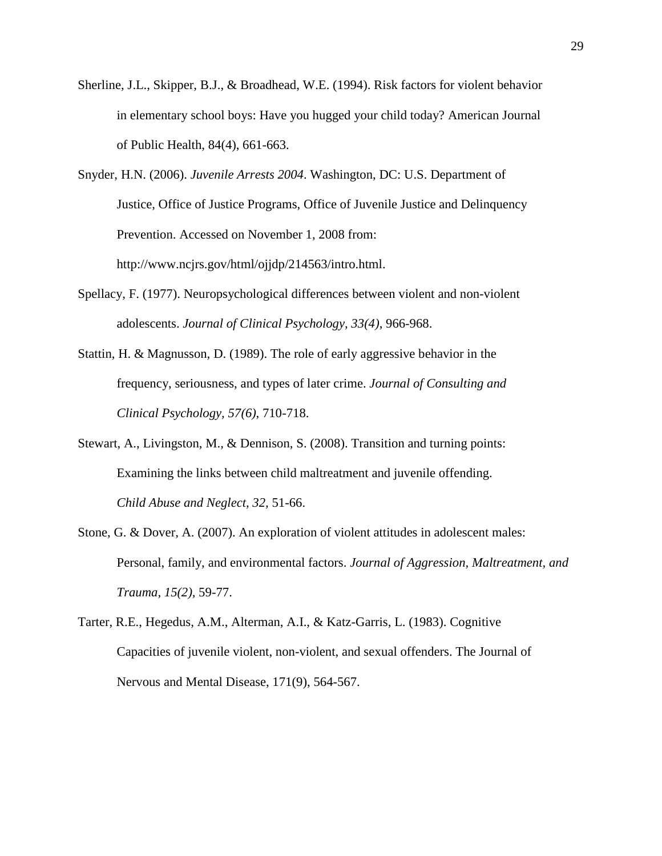- Sherline, J.L., Skipper, B.J., & Broadhead, W.E. (1994). Risk factors for violent behavior in elementary school boys: Have you hugged your child today? American Journal of Public Health, 84(4), 661-663.
- Snyder, H.N. (2006). *Juvenile Arrests 2004*. Washington, DC: U.S. Department of Justice, Office of Justice Programs, Office of Juvenile Justice and Delinquency Prevention. Accessed on November 1, 2008 from: http://www.ncjrs.gov/html/ojjdp/214563/intro.html.
- Spellacy, F. (1977). Neuropsychological differences between violent and non-violent adolescents. *Journal of Clinical Psychology, 33(4)*, 966-968.
- Stattin, H. & Magnusson, D. (1989). The role of early aggressive behavior in the frequency, seriousness, and types of later crime. *Journal of Consulting and Clinical Psychology, 57(6)*, 710-718.
- Stewart, A., Livingston, M., & Dennison, S. (2008). Transition and turning points: Examining the links between child maltreatment and juvenile offending. *Child Abuse and Neglect, 32,* 51-66.
- Stone, G. & Dover, A. (2007). An exploration of violent attitudes in adolescent males: Personal, family, and environmental factors. *Journal of Aggression, Maltreatment, and Trauma, 15(2),* 59-77.
- Tarter, R.E., Hegedus, A.M., Alterman, A.I., & Katz-Garris, L. (1983). Cognitive Capacities of juvenile violent, non-violent, and sexual offenders. The Journal of Nervous and Mental Disease, 171(9), 564-567.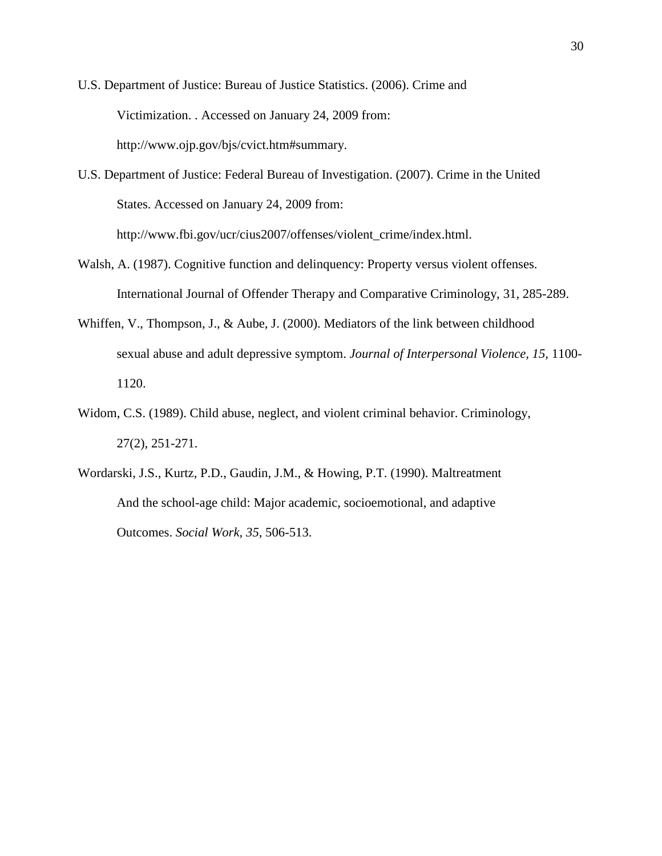- U.S. Department of Justice: Bureau of Justice Statistics. (2006). Crime and Victimization. . Accessed on January 24, 2009 from: http://www.ojp.gov/bjs/cvict.htm#summary.
- U.S. Department of Justice: Federal Bureau of Investigation. (2007). Crime in the United States. Accessed on January 24, 2009 from: http://www.fbi.gov/ucr/cius2007/offenses/violent\_crime/index.html.
- Walsh, A. (1987). Cognitive function and delinquency: Property versus violent offenses. International Journal of Offender Therapy and Comparative Criminology, 31, 285-289.
- Whiffen, V., Thompson, J., & Aube, J. (2000). Mediators of the link between childhood sexual abuse and adult depressive symptom. *Journal of Interpersonal Violence, 15*, 1100- 1120.
- Widom, C.S. (1989). Child abuse, neglect, and violent criminal behavior. Criminology, 27(2), 251-271.
- Wordarski, J.S., Kurtz, P.D., Gaudin, J.M., & Howing, P.T. (1990). Maltreatment And the school-age child: Major academic, socioemotional, and adaptive Outcomes. *Social Work, 35*, 506-513.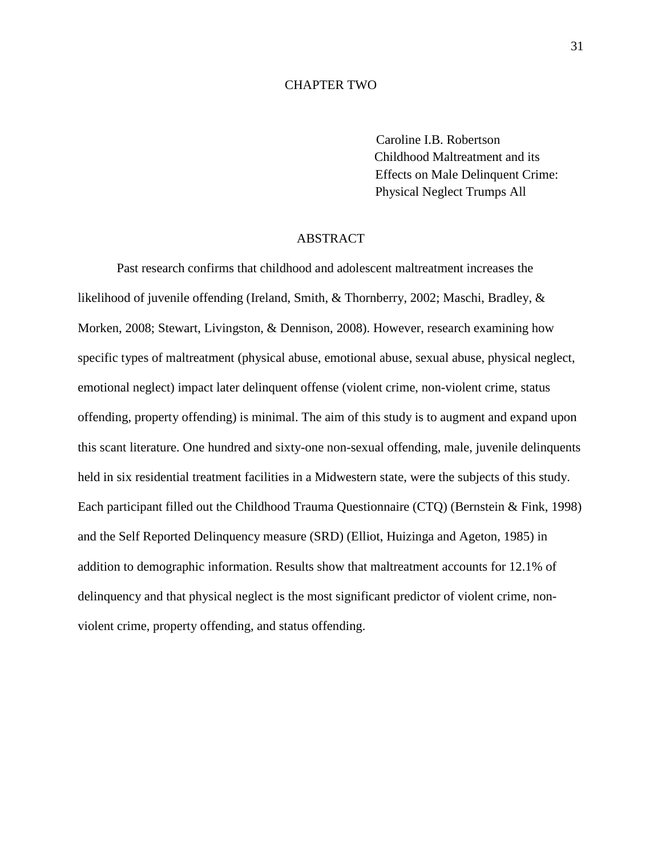#### CHAPTER TWO

 Caroline I.B. Robertson Childhood Maltreatment and its Effects on Male Delinquent Crime: Physical Neglect Trumps All

## ABSTRACT

Past research confirms that childhood and adolescent maltreatment increases the likelihood of juvenile offending (Ireland, Smith, & Thornberry, 2002; Maschi, Bradley, & Morken, 2008; Stewart, Livingston, & Dennison, 2008). However, research examining how specific types of maltreatment (physical abuse, emotional abuse, sexual abuse, physical neglect, emotional neglect) impact later delinquent offense (violent crime, non-violent crime, status offending, property offending) is minimal. The aim of this study is to augment and expand upon this scant literature. One hundred and sixty-one non-sexual offending, male, juvenile delinquents held in six residential treatment facilities in a Midwestern state, were the subjects of this study. Each participant filled out the Childhood Trauma Questionnaire (CTQ) (Bernstein & Fink, 1998) and the Self Reported Delinquency measure (SRD) (Elliot, Huizinga and Ageton, 1985) in addition to demographic information. Results show that maltreatment accounts for 12.1% of delinquency and that physical neglect is the most significant predictor of violent crime, nonviolent crime, property offending, and status offending.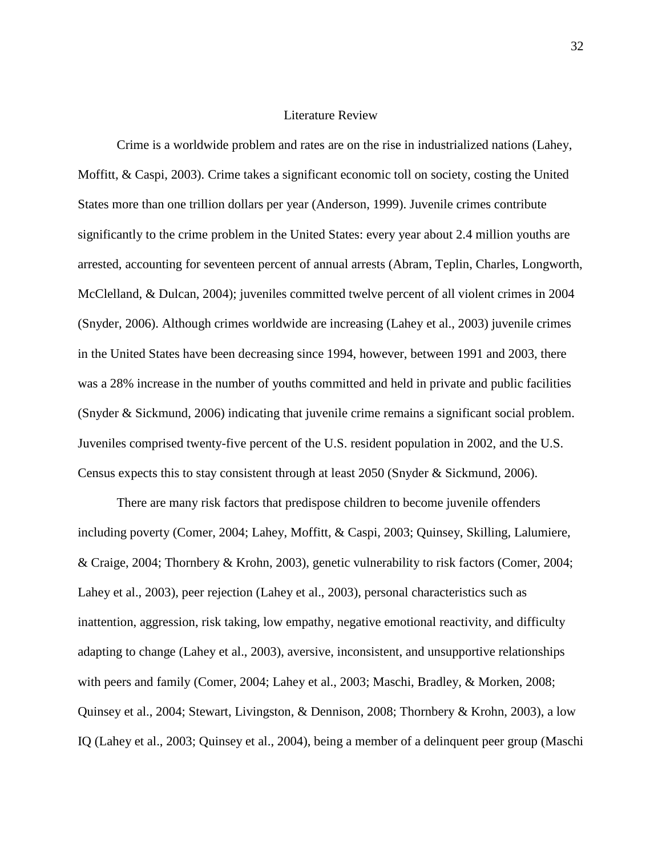#### Literature Review

Crime is a worldwide problem and rates are on the rise in industrialized nations (Lahey, Moffitt, & Caspi, 2003). Crime takes a significant economic toll on society, costing the United States more than one trillion dollars per year (Anderson, 1999). Juvenile crimes contribute significantly to the crime problem in the United States: every year about 2.4 million youths are arrested, accounting for seventeen percent of annual arrests (Abram, Teplin, Charles, Longworth, McClelland, & Dulcan, 2004); juveniles committed twelve percent of all violent crimes in 2004 (Snyder, 2006). Although crimes worldwide are increasing (Lahey et al., 2003) juvenile crimes in the United States have been decreasing since 1994, however, between 1991 and 2003, there was a 28% increase in the number of youths committed and held in private and public facilities (Snyder & Sickmund, 2006) indicating that juvenile crime remains a significant social problem. Juveniles comprised twenty-five percent of the U.S. resident population in 2002, and the U.S. Census expects this to stay consistent through at least 2050 (Snyder & Sickmund, 2006).

There are many risk factors that predispose children to become juvenile offenders including poverty (Comer, 2004; Lahey, Moffitt, & Caspi, 2003; Quinsey, Skilling, Lalumiere, & Craige, 2004; Thornbery & Krohn, 2003), genetic vulnerability to risk factors (Comer, 2004; Lahey et al., 2003), peer rejection (Lahey et al., 2003), personal characteristics such as inattention, aggression, risk taking, low empathy, negative emotional reactivity, and difficulty adapting to change (Lahey et al., 2003), aversive, inconsistent, and unsupportive relationships with peers and family (Comer, 2004; Lahey et al., 2003; Maschi, Bradley, & Morken, 2008; Quinsey et al., 2004; Stewart, Livingston, & Dennison, 2008; Thornbery & Krohn, 2003), a low IQ (Lahey et al., 2003; Quinsey et al., 2004), being a member of a delinquent peer group (Maschi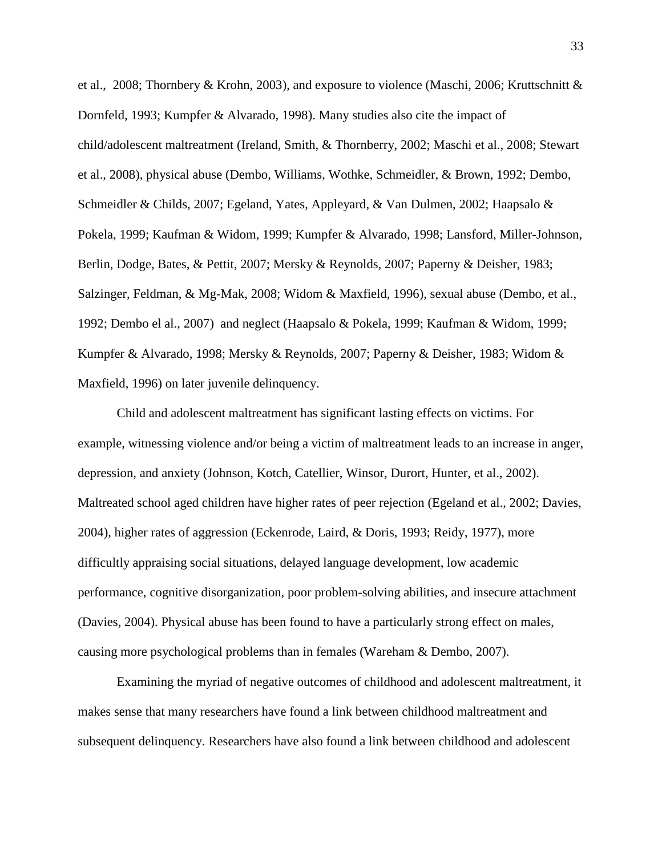et al., 2008; Thornbery & Krohn, 2003), and exposure to violence (Maschi, 2006; Kruttschnitt & Dornfeld, 1993; Kumpfer & Alvarado, 1998). Many studies also cite the impact of child/adolescent maltreatment (Ireland, Smith, & Thornberry, 2002; Maschi et al., 2008; Stewart et al., 2008), physical abuse (Dembo, Williams, Wothke, Schmeidler, & Brown, 1992; Dembo, Schmeidler & Childs, 2007; Egeland, Yates, Appleyard, & Van Dulmen, 2002; Haapsalo & Pokela, 1999; Kaufman & Widom, 1999; Kumpfer & Alvarado, 1998; Lansford, Miller-Johnson, Berlin, Dodge, Bates, & Pettit, 2007; Mersky & Reynolds, 2007; Paperny & Deisher, 1983; Salzinger, Feldman, & Mg-Mak, 2008; Widom & Maxfield, 1996), sexual abuse (Dembo, et al., 1992; Dembo el al., 2007) and neglect (Haapsalo & Pokela, 1999; Kaufman & Widom, 1999; Kumpfer & Alvarado, 1998; Mersky & Reynolds, 2007; Paperny & Deisher, 1983; Widom & Maxfield, 1996) on later juvenile delinquency.

Child and adolescent maltreatment has significant lasting effects on victims. For example, witnessing violence and/or being a victim of maltreatment leads to an increase in anger, depression, and anxiety (Johnson, Kotch, Catellier, Winsor, Durort, Hunter, et al., 2002). Maltreated school aged children have higher rates of peer rejection (Egeland et al., 2002; Davies, 2004), higher rates of aggression (Eckenrode, Laird, & Doris, 1993; Reidy, 1977), more difficultly appraising social situations, delayed language development, low academic performance, cognitive disorganization, poor problem-solving abilities, and insecure attachment (Davies, 2004). Physical abuse has been found to have a particularly strong effect on males, causing more psychological problems than in females (Wareham & Dembo, 2007).

Examining the myriad of negative outcomes of childhood and adolescent maltreatment, it makes sense that many researchers have found a link between childhood maltreatment and subsequent delinquency. Researchers have also found a link between childhood and adolescent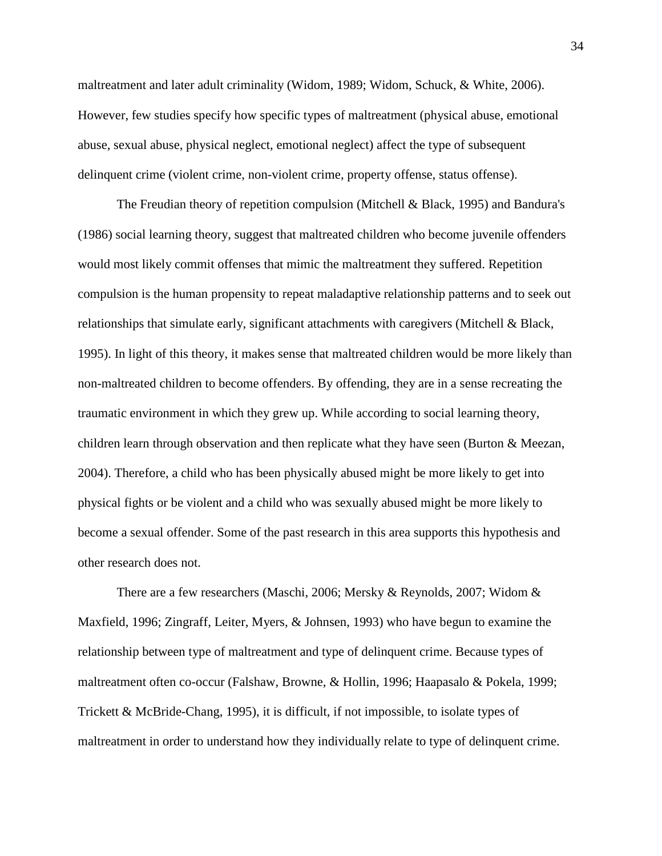maltreatment and later adult criminality (Widom, 1989; Widom, Schuck, & White, 2006). However, few studies specify how specific types of maltreatment (physical abuse, emotional abuse, sexual abuse, physical neglect, emotional neglect) affect the type of subsequent delinquent crime (violent crime, non-violent crime, property offense, status offense).

The Freudian theory of repetition compulsion (Mitchell & Black, 1995) and Bandura's (1986) social learning theory, suggest that maltreated children who become juvenile offenders would most likely commit offenses that mimic the maltreatment they suffered. Repetition compulsion is the human propensity to repeat maladaptive relationship patterns and to seek out relationships that simulate early, significant attachments with caregivers (Mitchell & Black, 1995). In light of this theory, it makes sense that maltreated children would be more likely than non-maltreated children to become offenders. By offending, they are in a sense recreating the traumatic environment in which they grew up. While according to social learning theory, children learn through observation and then replicate what they have seen (Burton & Meezan, 2004). Therefore, a child who has been physically abused might be more likely to get into physical fights or be violent and a child who was sexually abused might be more likely to become a sexual offender. Some of the past research in this area supports this hypothesis and other research does not.

There are a few researchers (Maschi, 2006; Mersky & Reynolds, 2007; Widom & Maxfield, 1996; Zingraff, Leiter, Myers, & Johnsen, 1993) who have begun to examine the relationship between type of maltreatment and type of delinquent crime. Because types of maltreatment often co-occur (Falshaw, Browne, & Hollin, 1996; Haapasalo & Pokela, 1999; Trickett & McBride-Chang, 1995), it is difficult, if not impossible, to isolate types of maltreatment in order to understand how they individually relate to type of delinquent crime.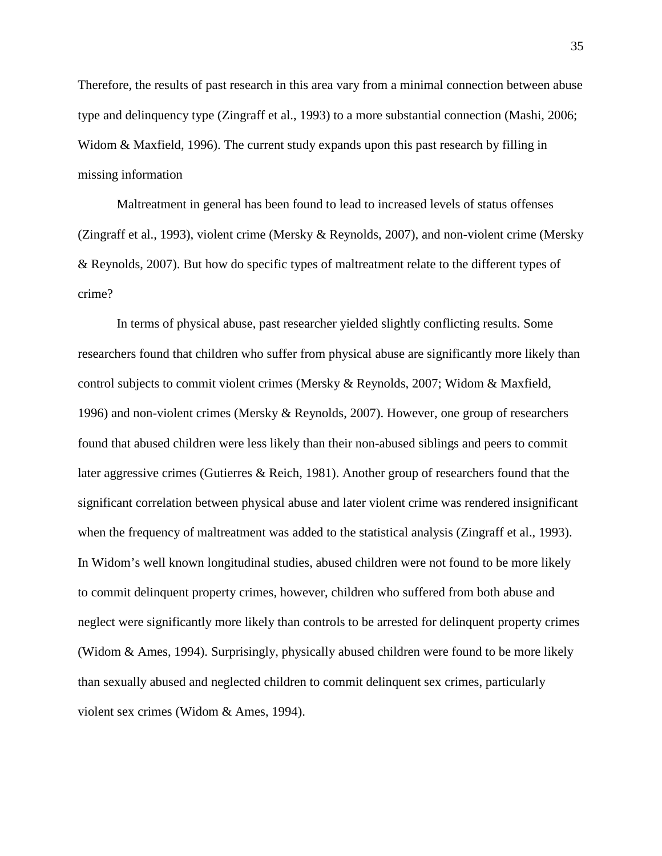Therefore, the results of past research in this area vary from a minimal connection between abuse type and delinquency type (Zingraff et al., 1993) to a more substantial connection (Mashi, 2006; Widom & Maxfield, 1996). The current study expands upon this past research by filling in missing information

Maltreatment in general has been found to lead to increased levels of status offenses (Zingraff et al., 1993), violent crime (Mersky & Reynolds, 2007), and non-violent crime (Mersky & Reynolds, 2007). But how do specific types of maltreatment relate to the different types of crime?

In terms of physical abuse, past researcher yielded slightly conflicting results. Some researchers found that children who suffer from physical abuse are significantly more likely than control subjects to commit violent crimes (Mersky & Reynolds, 2007; Widom & Maxfield, 1996) and non-violent crimes (Mersky & Reynolds, 2007). However, one group of researchers found that abused children were less likely than their non-abused siblings and peers to commit later aggressive crimes (Gutierres & Reich, 1981). Another group of researchers found that the significant correlation between physical abuse and later violent crime was rendered insignificant when the frequency of maltreatment was added to the statistical analysis (Zingraff et al., 1993). In Widom's well known longitudinal studies, abused children were not found to be more likely to commit delinquent property crimes, however, children who suffered from both abuse and neglect were significantly more likely than controls to be arrested for delinquent property crimes (Widom & Ames, 1994). Surprisingly, physically abused children were found to be more likely than sexually abused and neglected children to commit delinquent sex crimes, particularly violent sex crimes (Widom & Ames, 1994).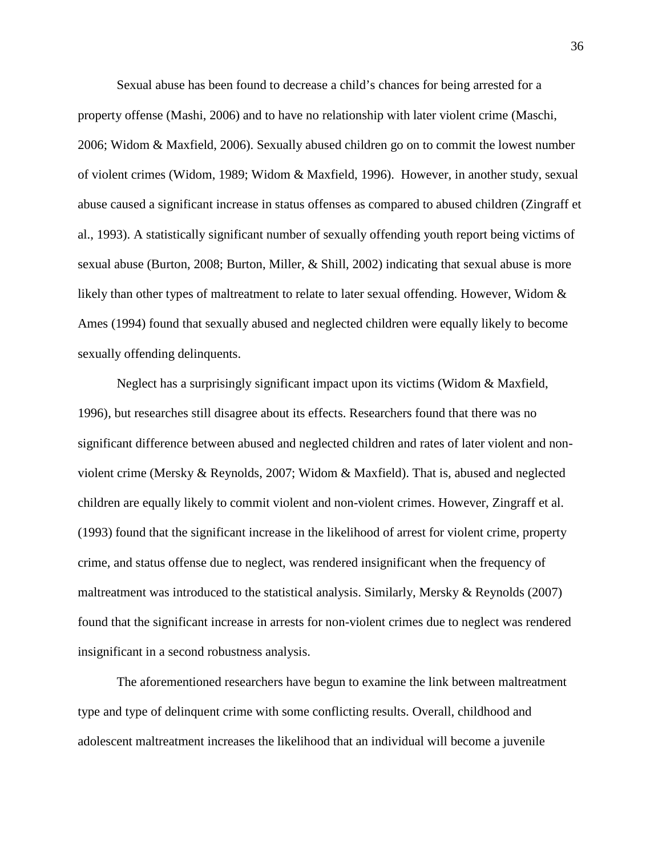Sexual abuse has been found to decrease a child's chances for being arrested for a property offense (Mashi, 2006) and to have no relationship with later violent crime (Maschi, 2006; Widom & Maxfield, 2006). Sexually abused children go on to commit the lowest number of violent crimes (Widom, 1989; Widom & Maxfield, 1996). However, in another study, sexual abuse caused a significant increase in status offenses as compared to abused children (Zingraff et al., 1993). A statistically significant number of sexually offending youth report being victims of sexual abuse (Burton, 2008; Burton, Miller, & Shill, 2002) indicating that sexual abuse is more likely than other types of maltreatment to relate to later sexual offending. However, Widom & Ames (1994) found that sexually abused and neglected children were equally likely to become sexually offending delinquents.

Neglect has a surprisingly significant impact upon its victims (Widom & Maxfield, 1996), but researches still disagree about its effects. Researchers found that there was no significant difference between abused and neglected children and rates of later violent and nonviolent crime (Mersky & Reynolds, 2007; Widom & Maxfield). That is, abused and neglected children are equally likely to commit violent and non-violent crimes. However, Zingraff et al. (1993) found that the significant increase in the likelihood of arrest for violent crime, property crime, and status offense due to neglect, was rendered insignificant when the frequency of maltreatment was introduced to the statistical analysis. Similarly, Mersky & Reynolds (2007) found that the significant increase in arrests for non-violent crimes due to neglect was rendered insignificant in a second robustness analysis.

The aforementioned researchers have begun to examine the link between maltreatment type and type of delinquent crime with some conflicting results. Overall, childhood and adolescent maltreatment increases the likelihood that an individual will become a juvenile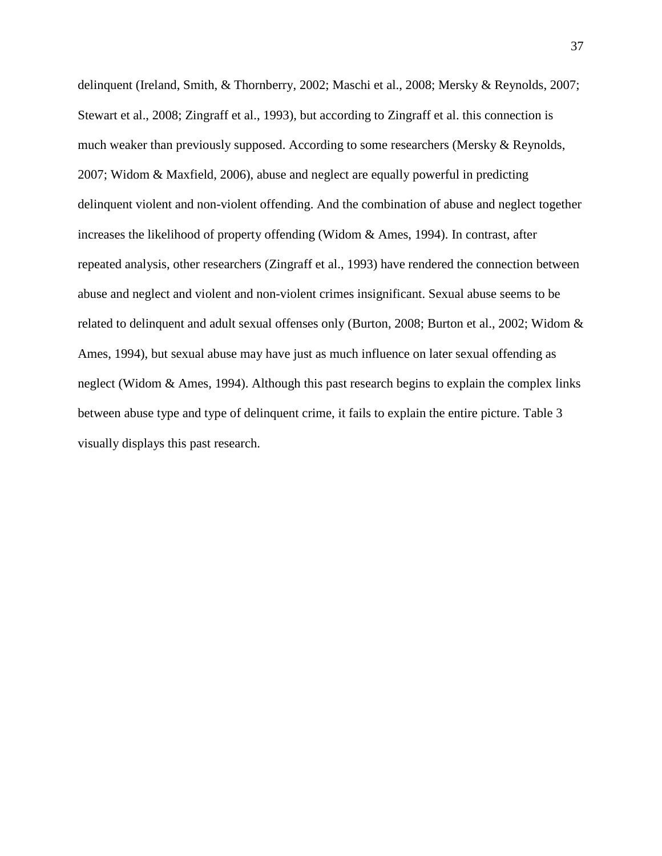delinquent (Ireland, Smith, & Thornberry, 2002; Maschi et al., 2008; Mersky & Reynolds, 2007; Stewart et al., 2008; Zingraff et al., 1993), but according to Zingraff et al. this connection is much weaker than previously supposed. According to some researchers (Mersky & Reynolds, 2007; Widom & Maxfield, 2006), abuse and neglect are equally powerful in predicting delinquent violent and non-violent offending. And the combination of abuse and neglect together increases the likelihood of property offending (Widom & Ames, 1994). In contrast, after repeated analysis, other researchers (Zingraff et al., 1993) have rendered the connection between abuse and neglect and violent and non-violent crimes insignificant. Sexual abuse seems to be related to delinquent and adult sexual offenses only (Burton, 2008; Burton et al., 2002; Widom & Ames, 1994), but sexual abuse may have just as much influence on later sexual offending as neglect (Widom & Ames, 1994). Although this past research begins to explain the complex links between abuse type and type of delinquent crime, it fails to explain the entire picture. Table 3 visually displays this past research.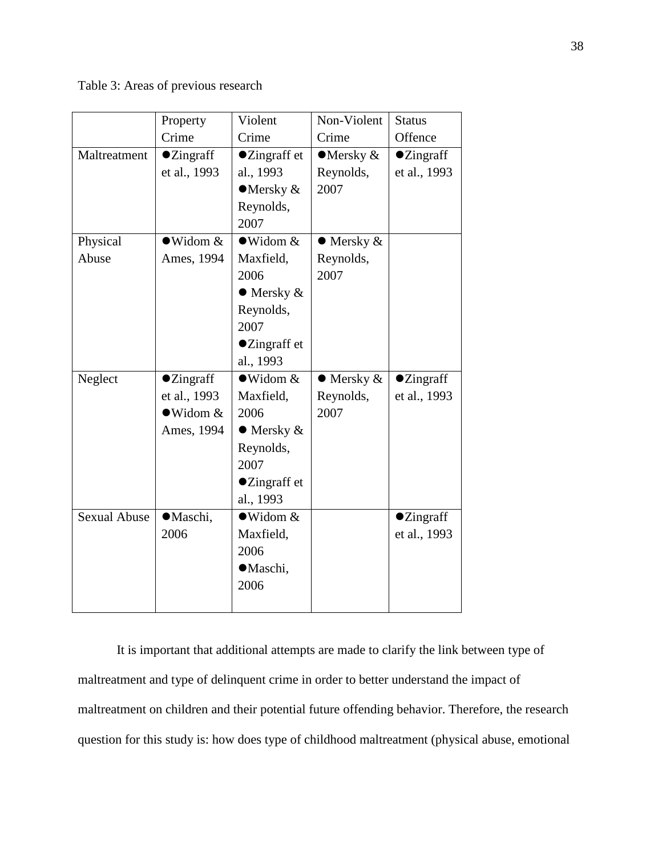Table 3: Areas of previous research

|                     | Property           | Violent               | Non-Violent        | <b>Status</b>      |
|---------------------|--------------------|-----------------------|--------------------|--------------------|
|                     | Crime              | Crime                 | Crime              | Offence            |
| Maltreatment        | $\bullet$ Zingraff | ●Zingraff et          | $\bullet$ Mersky & | $\bullet$ Zingraff |
|                     | et al., 1993       | al., 1993             | Reynolds,          | et al., 1993       |
|                     |                    | $\bullet$ Mersky &    | 2007               |                    |
|                     |                    | Reynolds,             |                    |                    |
|                     |                    | 2007                  |                    |                    |
| Physical            | $\bullet$ Widom &  | $\bullet$ Widom &     | $\bullet$ Mersky & |                    |
| Abuse               | Ames, 1994         | Maxfield,             | Reynolds,          |                    |
|                     |                    | 2006                  | 2007               |                    |
|                     |                    | $\bullet$ Mersky &    |                    |                    |
|                     |                    | Reynolds,             |                    |                    |
|                     |                    | 2007                  |                    |                    |
|                     |                    | ●Zingraff et          |                    |                    |
|                     |                    | al., 1993             |                    |                    |
| Neglect             | $\bullet$ Zingraff | $\bullet$ Widom &     | $\bullet$ Mersky & | $\bullet$ Zingraff |
|                     | et al., 1993       | Maxfield,             | Reynolds,          | et al., 1993       |
|                     | $\bullet$ Widom &  | 2006                  | 2007               |                    |
|                     | Ames, 1994         | $\bullet$ Mersky $\&$ |                    |                    |
|                     |                    | Reynolds,             |                    |                    |
|                     |                    | 2007                  |                    |                    |
|                     |                    | ●Zingraff et          |                    |                    |
|                     |                    | al., 1993             |                    |                    |
| <b>Sexual Abuse</b> | ·Maschi,           | $\bullet$ Widom &     |                    | <b>·Zingraff</b>   |
|                     | 2006               | Maxfield,             |                    | et al., 1993       |
|                     |                    | 2006                  |                    |                    |
|                     |                    | ·Maschi,              |                    |                    |
|                     |                    | 2006                  |                    |                    |
|                     |                    |                       |                    |                    |

It is important that additional attempts are made to clarify the link between type of maltreatment and type of delinquent crime in order to better understand the impact of maltreatment on children and their potential future offending behavior. Therefore, the research question for this study is: how does type of childhood maltreatment (physical abuse, emotional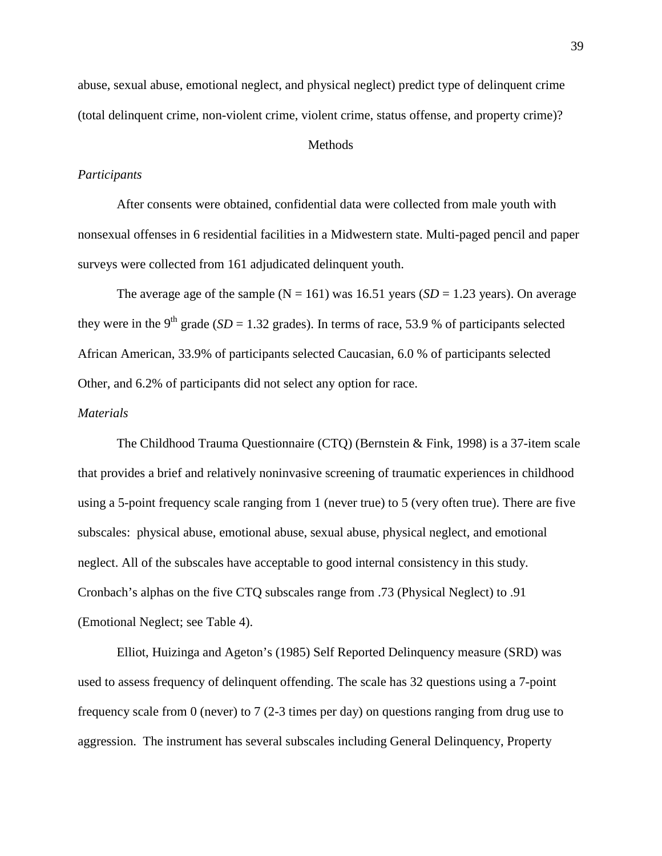abuse, sexual abuse, emotional neglect, and physical neglect) predict type of delinquent crime (total delinquent crime, non-violent crime, violent crime, status offense, and property crime)?

### **Methods**

#### *Participants*

After consents were obtained, confidential data were collected from male youth with nonsexual offenses in 6 residential facilities in a Midwestern state. Multi-paged pencil and paper surveys were collected from 161 adjudicated delinquent youth.

The average age of the sample ( $N = 161$ ) was 16.51 years (*SD* = 1.23 years). On average they were in the 9<sup>th</sup> grade (*SD* = 1.32 grades). In terms of race, 53.9 % of participants selected African American, 33.9% of participants selected Caucasian, 6.0 % of participants selected Other, and 6.2% of participants did not select any option for race.

#### *Materials*

The Childhood Trauma Questionnaire (CTQ) (Bernstein & Fink, 1998) is a 37-item scale that provides a brief and relatively noninvasive screening of traumatic experiences in childhood using a 5-point frequency scale ranging from 1 (never true) to 5 (very often true). There are five subscales: physical abuse, emotional abuse, sexual abuse, physical neglect, and emotional neglect. All of the subscales have acceptable to good internal consistency in this study. Cronbach's alphas on the five CTQ subscales range from .73 (Physical Neglect) to .91 (Emotional Neglect; see Table 4).

Elliot, Huizinga and Ageton's (1985) Self Reported Delinquency measure (SRD) was used to assess frequency of delinquent offending. The scale has 32 questions using a 7-point frequency scale from 0 (never) to 7 (2-3 times per day) on questions ranging from drug use to aggression. The instrument has several subscales including General Delinquency, Property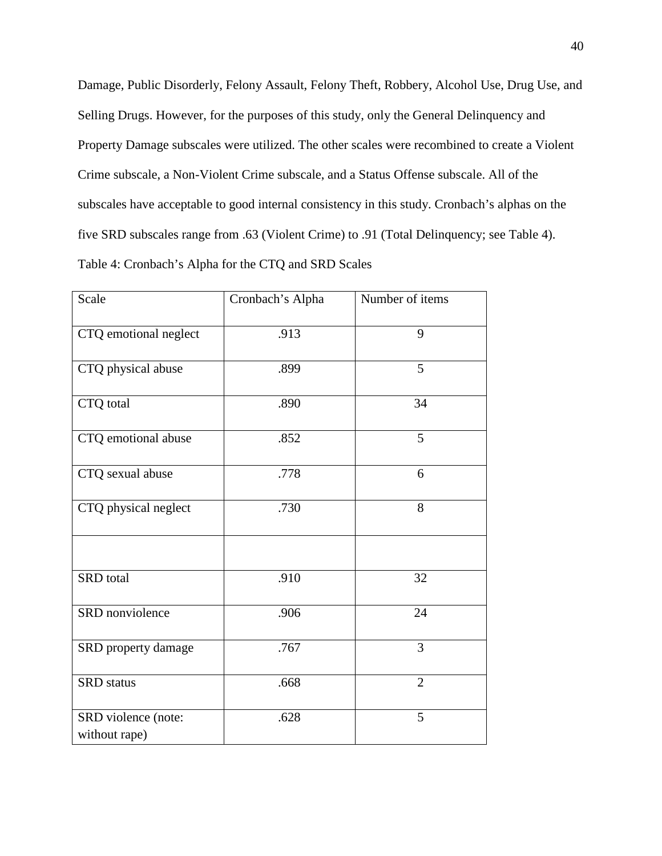Damage, Public Disorderly, Felony Assault, Felony Theft, Robbery, Alcohol Use, Drug Use, and Selling Drugs. However, for the purposes of this study, only the General Delinquency and Property Damage subscales were utilized. The other scales were recombined to create a Violent Crime subscale, a Non-Violent Crime subscale, and a Status Offense subscale. All of the subscales have acceptable to good internal consistency in this study. Cronbach's alphas on the five SRD subscales range from .63 (Violent Crime) to .91 (Total Delinquency; see Table 4). Table 4: Cronbach's Alpha for the CTQ and SRD Scales

| Scale                                | Cronbach's Alpha | Number of items |
|--------------------------------------|------------------|-----------------|
| CTQ emotional neglect                | .913             | 9               |
| CTQ physical abuse                   | .899             | 5               |
| CTQ total                            | .890             | 34              |
| CTQ emotional abuse                  | .852             | 5               |
| CTQ sexual abuse                     | .778             | 6               |
| CTQ physical neglect                 | .730             | 8               |
|                                      |                  |                 |
| SRD total                            | .910             | 32              |
| SRD nonviolence                      | .906             | 24              |
| SRD property damage                  | .767             | 3               |
| <b>SRD</b> status                    | .668             | $\overline{2}$  |
| SRD violence (note:<br>without rape) | .628             | 5               |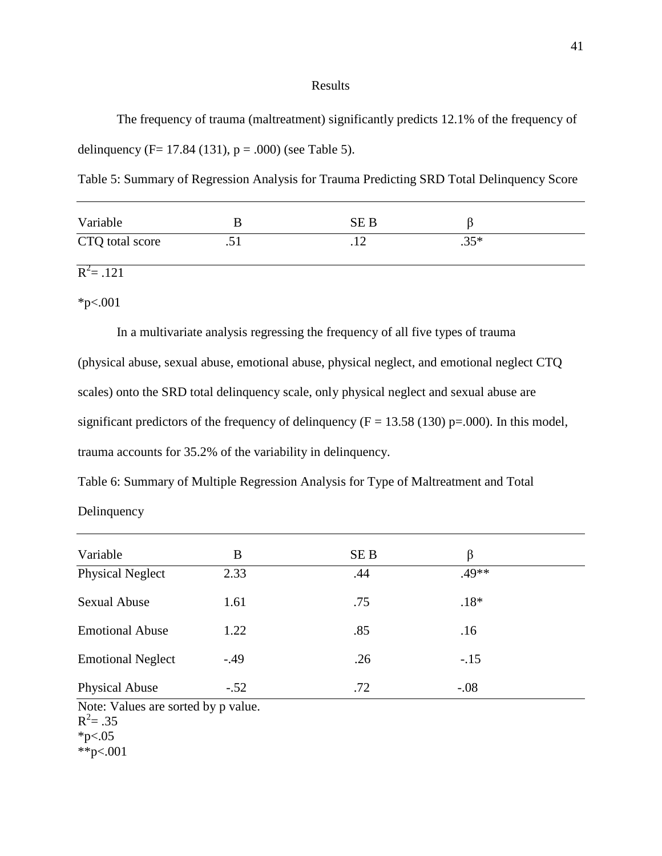#### Results

The frequency of trauma (maltreatment) significantly predicts 12.1% of the frequency of delinquency (F= 17.84 (131),  $p = .000$ ) (see Table 5).

Table 5: Summary of Regression Analysis for Trauma Predicting SRD Total Delinquency Score

| Variable        |         | SE B |              |  |
|-----------------|---------|------|--------------|--|
| CTQ total score | $\cdot$ |      | $25*$<br>ں ں |  |

 $R^2 = .121$ 

\*p<.001

In a multivariate analysis regressing the frequency of all five types of trauma (physical abuse, sexual abuse, emotional abuse, physical neglect, and emotional neglect CTQ scales) onto the SRD total delinquency scale, only physical neglect and sexual abuse are significant predictors of the frequency of delinquency ( $F = 13.58$  (130) p=.000). In this model, trauma accounts for 35.2% of the variability in delinquency.

Table 6: Summary of Multiple Regression Analysis for Type of Maltreatment and Total

Delinquency

| Variable                                         | В      | SE B | β      |  |
|--------------------------------------------------|--------|------|--------|--|
| <b>Physical Neglect</b>                          | 2.33   | .44  | .49**  |  |
| <b>Sexual Abuse</b>                              | 1.61   | .75  | $.18*$ |  |
| <b>Emotional Abuse</b>                           | 1.22   | .85  | .16    |  |
| <b>Emotional Neglect</b>                         | $-.49$ | .26  | $-.15$ |  |
| <b>Physical Abuse</b>                            | $-.52$ | .72  | $-.08$ |  |
| Note: Values are sorted by p value.<br>$-2$ $-2$ |        |      |        |  |

 $R^2 = .35$ 

\*\*p<.001

 $*p<.05$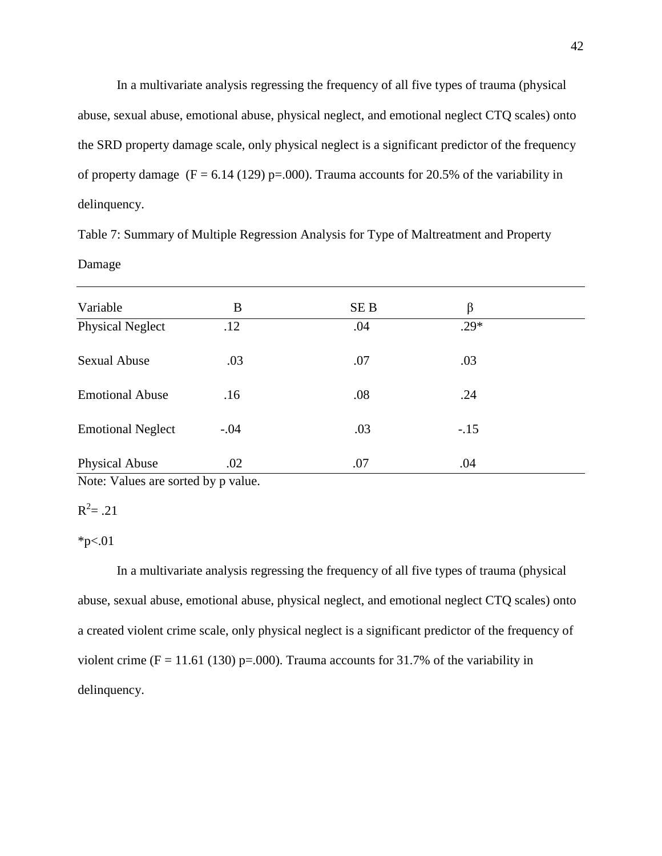In a multivariate analysis regressing the frequency of all five types of trauma (physical abuse, sexual abuse, emotional abuse, physical neglect, and emotional neglect CTQ scales) onto the SRD property damage scale, only physical neglect is a significant predictor of the frequency of property damage ( $F = 6.14$  (129) p=.000). Trauma accounts for 20.5% of the variability in delinquency.

Table 7: Summary of Multiple Regression Analysis for Type of Maltreatment and Property Damage

| Variable                 | B      | SE <sub>B</sub> | β      |  |
|--------------------------|--------|-----------------|--------|--|
| <b>Physical Neglect</b>  | .12    | .04             | $.29*$ |  |
| <b>Sexual Abuse</b>      | .03    | .07             | .03    |  |
| <b>Emotional Abuse</b>   | .16    | .08             | .24    |  |
| <b>Emotional Neglect</b> | $-.04$ | .03             | $-.15$ |  |
| <b>Physical Abuse</b>    | .02    | .07             | .04    |  |

Note: Values are sorted by p value.

# $R^2 = .21$

#### $*p<.01$

In a multivariate analysis regressing the frequency of all five types of trauma (physical abuse, sexual abuse, emotional abuse, physical neglect, and emotional neglect CTQ scales) onto a created violent crime scale, only physical neglect is a significant predictor of the frequency of violent crime (F = 11.61 (130) p=.000). Trauma accounts for 31.7% of the variability in delinquency.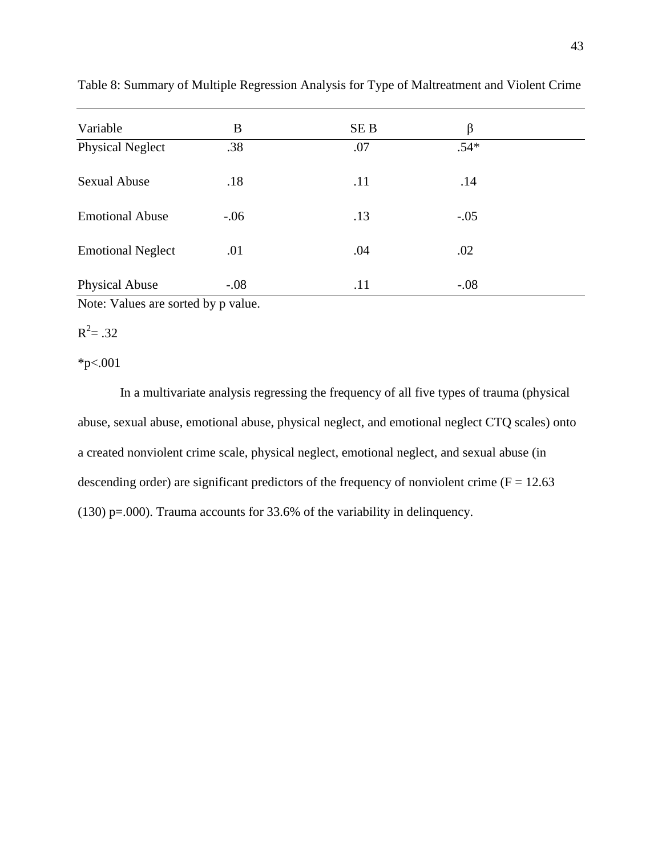| Variable                 | B      | SE <sub>B</sub> | β      |  |
|--------------------------|--------|-----------------|--------|--|
| <b>Physical Neglect</b>  | .38    | .07             | $.54*$ |  |
| <b>Sexual Abuse</b>      | .18    | .11             | .14    |  |
| <b>Emotional Abuse</b>   | $-.06$ | .13             | $-.05$ |  |
| <b>Emotional Neglect</b> | .01    | .04             | .02    |  |
| <b>Physical Abuse</b>    | $-.08$ | .11             | $-.08$ |  |

Table 8: Summary of Multiple Regression Analysis for Type of Maltreatment and Violent Crime

Note: Values are sorted by p value.

# $R^2 = .32$

\*p<.001

In a multivariate analysis regressing the frequency of all five types of trauma (physical abuse, sexual abuse, emotional abuse, physical neglect, and emotional neglect CTQ scales) onto a created nonviolent crime scale, physical neglect, emotional neglect, and sexual abuse (in descending order) are significant predictors of the frequency of nonviolent crime ( $F = 12.63$ ) (130) p=.000). Trauma accounts for  $33.6\%$  of the variability in delinquency.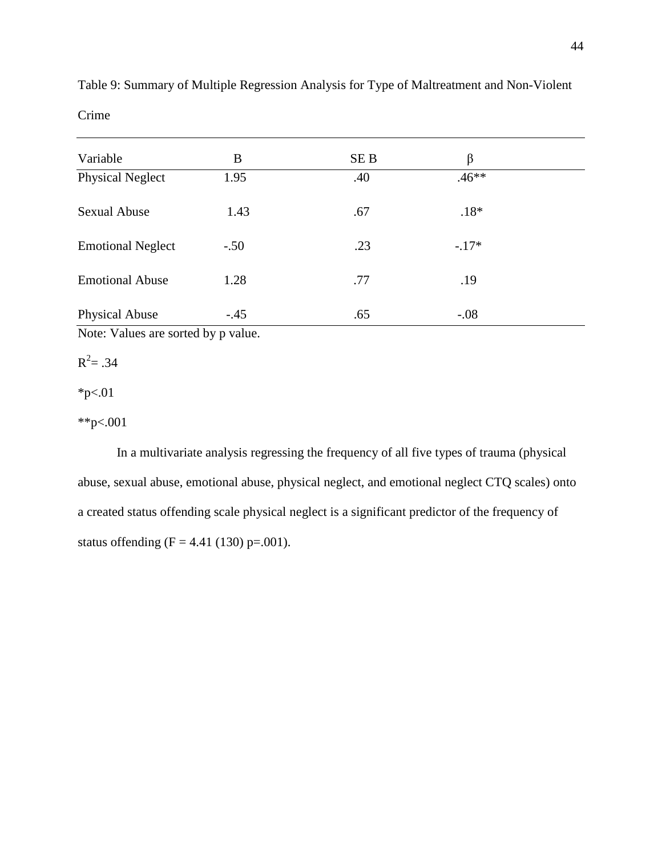| Variable                 | B      | SE <sub>B</sub> | β       |  |
|--------------------------|--------|-----------------|---------|--|
| <b>Physical Neglect</b>  | 1.95   | .40             | $.46**$ |  |
| <b>Sexual Abuse</b>      | 1.43   | .67             | $.18*$  |  |
| <b>Emotional Neglect</b> | $-.50$ | .23             | $-.17*$ |  |
| <b>Emotional Abuse</b>   | 1.28   | .77             | .19     |  |
| <b>Physical Abuse</b>    | $-.45$ | .65             | $-.08$  |  |

Table 9: Summary of Multiple Regression Analysis for Type of Maltreatment and Non-Violent Crime

Note: Values are sorted by p value.

 $R^2 = .34$ 

 $*p<.01$ 

\*\*p<.001

In a multivariate analysis regressing the frequency of all five types of trauma (physical abuse, sexual abuse, emotional abuse, physical neglect, and emotional neglect CTQ scales) onto a created status offending scale physical neglect is a significant predictor of the frequency of status offending (F = 4.41 (130) p=.001).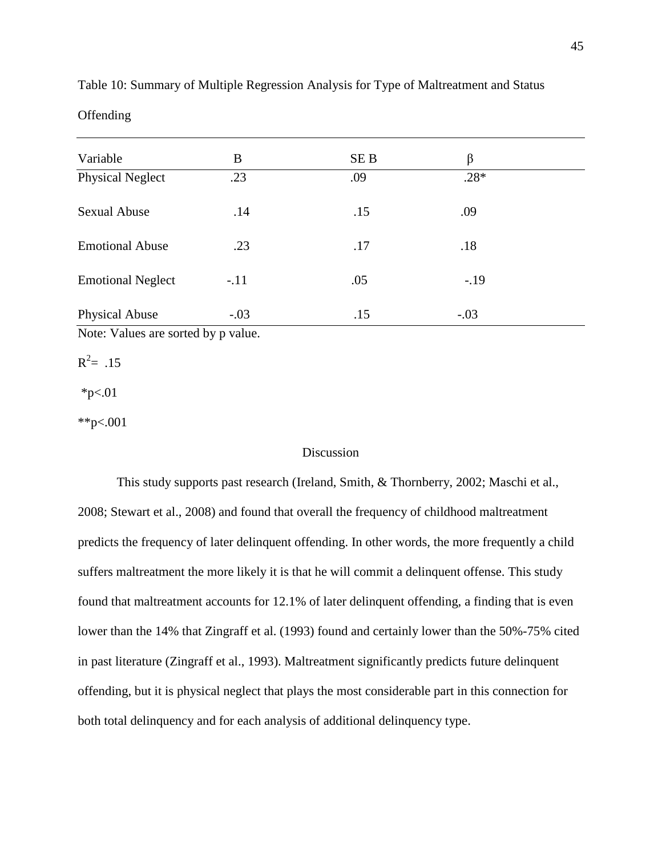| Variable                 | B      | SE <sub>B</sub> | β      |  |
|--------------------------|--------|-----------------|--------|--|
| <b>Physical Neglect</b>  | .23    | .09             | $.28*$ |  |
| <b>Sexual Abuse</b>      | .14    | .15             | .09    |  |
| <b>Emotional Abuse</b>   | .23    | .17             | .18    |  |
| <b>Emotional Neglect</b> | $-.11$ | .05             | $-.19$ |  |
| <b>Physical Abuse</b>    | $-.03$ | .15             | $-.03$ |  |

Table 10: Summary of Multiple Regression Analysis for Type of Maltreatment and Status

Offending

Note: Values are sorted by p value.

 $R^2$ = .15

 $*_{p<.01}$ 

\*\*p<.001

### Discussion

This study supports past research (Ireland, Smith, & Thornberry, 2002; Maschi et al., 2008; Stewart et al., 2008) and found that overall the frequency of childhood maltreatment predicts the frequency of later delinquent offending. In other words, the more frequently a child suffers maltreatment the more likely it is that he will commit a delinquent offense. This study found that maltreatment accounts for 12.1% of later delinquent offending, a finding that is even lower than the 14% that Zingraff et al. (1993) found and certainly lower than the 50%-75% cited in past literature (Zingraff et al., 1993). Maltreatment significantly predicts future delinquent offending, but it is physical neglect that plays the most considerable part in this connection for both total delinquency and for each analysis of additional delinquency type.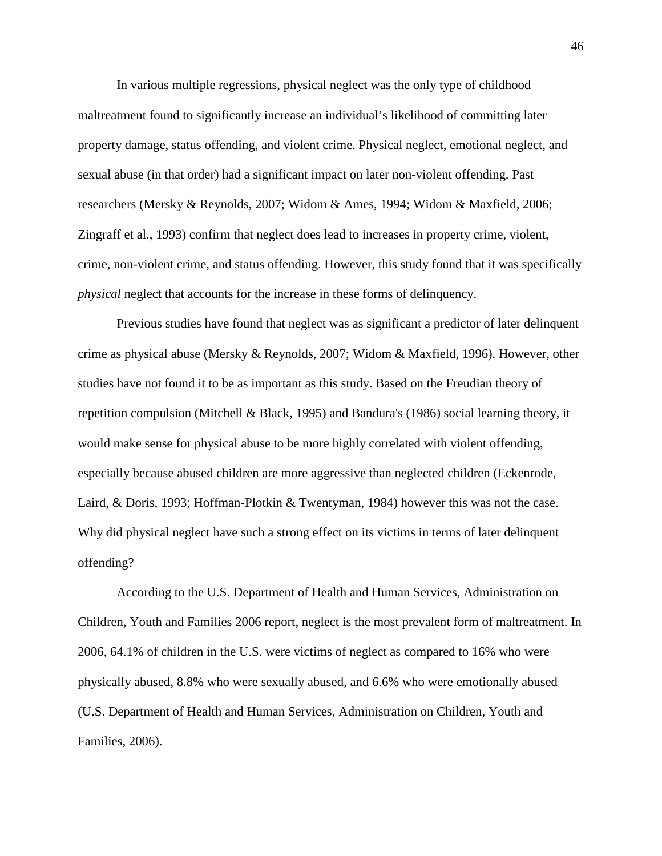In various multiple regressions, physical neglect was the only type of childhood maltreatment found to significantly increase an individual's likelihood of committing later property damage, status offending, and violent crime. Physical neglect, emotional neglect, and sexual abuse (in that order) had a significant impact on later non-violent offending. Past researchers (Mersky & Reynolds, 2007; Widom & Ames, 1994; Widom & Maxfield, 2006; Zingraff et al., 1993) confirm that neglect does lead to increases in property crime, violent, crime, non-violent crime, and status offending. However, this study found that it was specifically *physical* neglect that accounts for the increase in these forms of delinquency.

Previous studies have found that neglect was as significant a predictor of later delinquent crime as physical abuse (Mersky & Reynolds, 2007; Widom & Maxfield, 1996). However, other studies have not found it to be as important as this study. Based on the Freudian theory of repetition compulsion (Mitchell & Black, 1995) and Bandura's (1986) social learning theory, it would make sense for physical abuse to be more highly correlated with violent offending, especially because abused children are more aggressive than neglected children (Eckenrode, Laird, & Doris, 1993; Hoffman-Plotkin & Twentyman, 1984) however this was not the case. Why did physical neglect have such a strong effect on its victims in terms of later delinquent offending?

According to the U.S. Department of Health and Human Services, Administration on Children, Youth and Families 2006 report, neglect is the most prevalent form of maltreatment. In 2006, 64.1% of children in the U.S. were victims of neglect as compared to 16% who were physically abused, 8.8% who were sexually abused, and 6.6% who were emotionally abused (U.S. Department of Health and Human Services, Administration on Children, Youth and Families, 2006).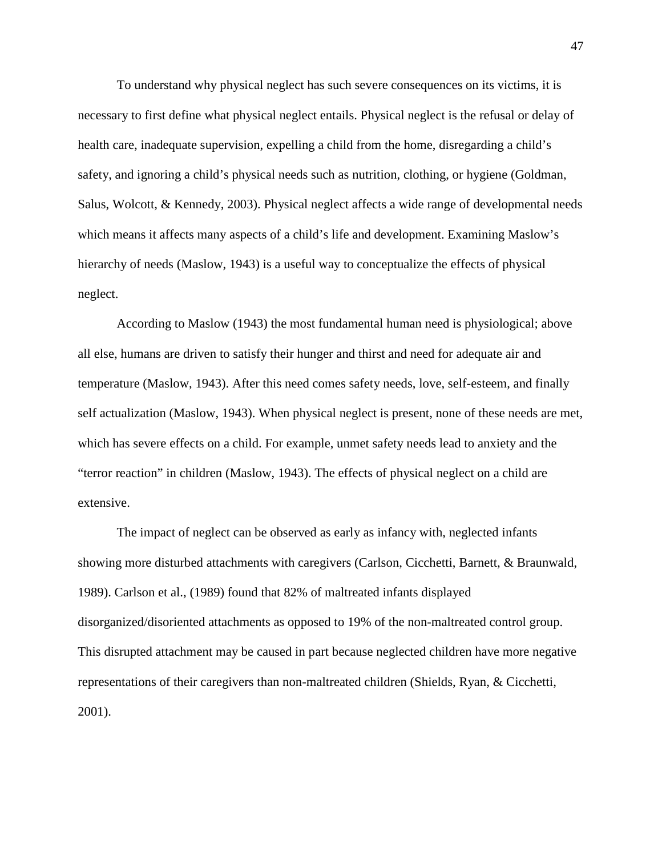To understand why physical neglect has such severe consequences on its victims, it is necessary to first define what physical neglect entails. Physical neglect is the refusal or delay of health care, inadequate supervision, expelling a child from the home, disregarding a child's safety, and ignoring a child's physical needs such as nutrition, clothing, or hygiene (Goldman, Salus, Wolcott, & Kennedy, 2003). Physical neglect affects a wide range of developmental needs which means it affects many aspects of a child's life and development. Examining Maslow's hierarchy of needs (Maslow, 1943) is a useful way to conceptualize the effects of physical neglect.

According to Maslow (1943) the most fundamental human need is physiological; above all else, humans are driven to satisfy their hunger and thirst and need for adequate air and temperature (Maslow, 1943). After this need comes safety needs, love, self-esteem, and finally self actualization (Maslow, 1943). When physical neglect is present, none of these needs are met, which has severe effects on a child. For example, unmet safety needs lead to anxiety and the "terror reaction" in children (Maslow, 1943). The effects of physical neglect on a child are extensive.

The impact of neglect can be observed as early as infancy with, neglected infants showing more disturbed attachments with caregivers (Carlson, Cicchetti, Barnett, & Braunwald, 1989). Carlson et al., (1989) found that 82% of maltreated infants displayed disorganized/disoriented attachments as opposed to 19% of the non-maltreated control group. This disrupted attachment may be caused in part because neglected children have more negative representations of their caregivers than non-maltreated children (Shields, Ryan, & Cicchetti, 2001).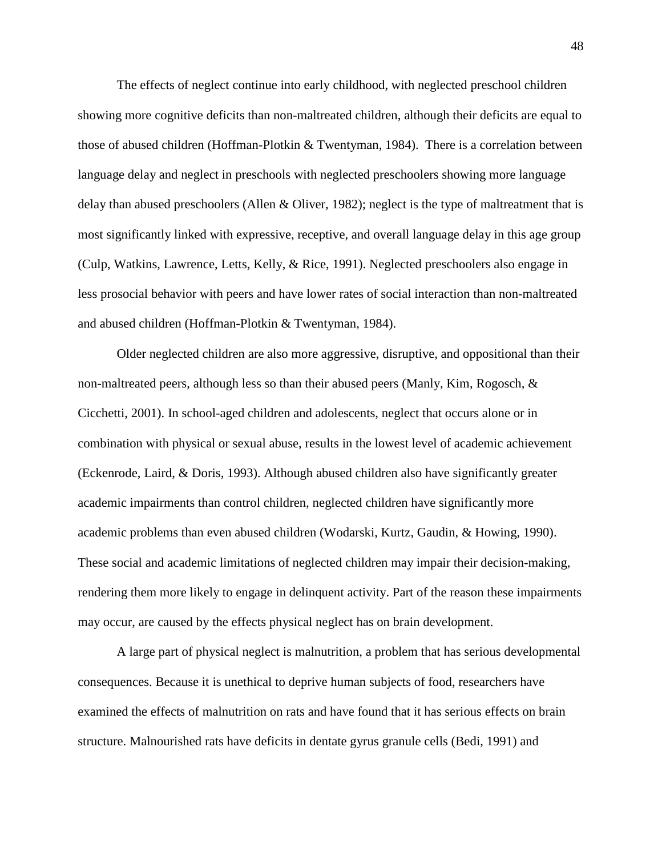The effects of neglect continue into early childhood, with neglected preschool children showing more cognitive deficits than non-maltreated children, although their deficits are equal to those of abused children (Hoffman-Plotkin & Twentyman, 1984). There is a correlation between language delay and neglect in preschools with neglected preschoolers showing more language delay than abused preschoolers (Allen & Oliver, 1982); neglect is the type of maltreatment that is most significantly linked with expressive, receptive, and overall language delay in this age group (Culp, Watkins, Lawrence, Letts, Kelly, & Rice, 1991). Neglected preschoolers also engage in less prosocial behavior with peers and have lower rates of social interaction than non-maltreated and abused children (Hoffman-Plotkin & Twentyman, 1984).

Older neglected children are also more aggressive, disruptive, and oppositional than their non-maltreated peers, although less so than their abused peers (Manly, Kim, Rogosch, & Cicchetti, 2001). In school-aged children and adolescents, neglect that occurs alone or in combination with physical or sexual abuse, results in the lowest level of academic achievement (Eckenrode, Laird, & Doris, 1993). Although abused children also have significantly greater academic impairments than control children, neglected children have significantly more academic problems than even abused children (Wodarski, Kurtz, Gaudin, & Howing, 1990). These social and academic limitations of neglected children may impair their decision-making, rendering them more likely to engage in delinquent activity. Part of the reason these impairments may occur, are caused by the effects physical neglect has on brain development.

A large part of physical neglect is malnutrition, a problem that has serious developmental consequences. Because it is unethical to deprive human subjects of food, researchers have examined the effects of malnutrition on rats and have found that it has serious effects on brain structure. Malnourished rats have deficits in dentate gyrus granule cells (Bedi, 1991) and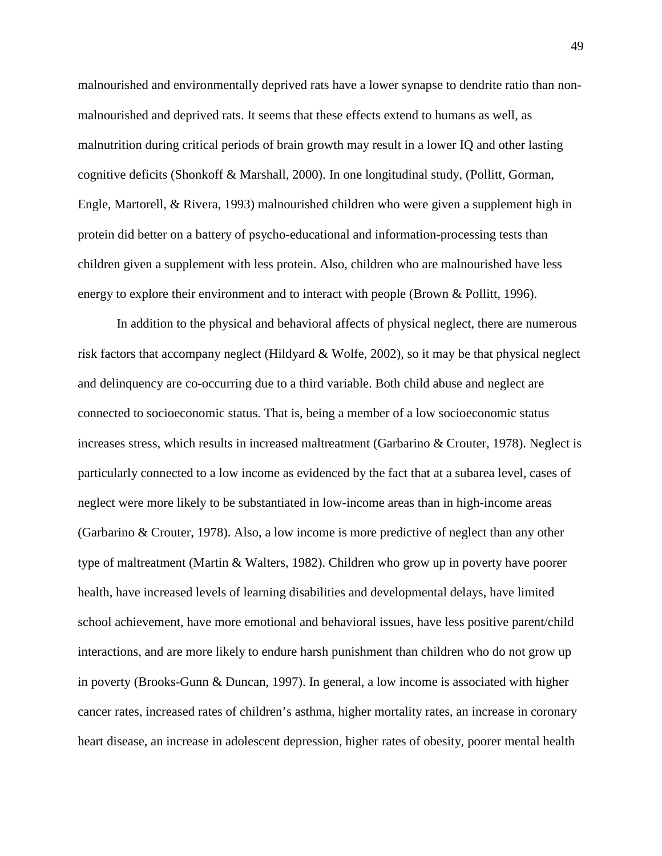malnourished and environmentally deprived rats have a lower synapse to dendrite ratio than nonmalnourished and deprived rats. It seems that these effects extend to humans as well, as malnutrition during critical periods of brain growth may result in a lower IQ and other lasting cognitive deficits (Shonkoff & Marshall, 2000). In one longitudinal study, (Pollitt, Gorman, Engle, Martorell, & Rivera, 1993) malnourished children who were given a supplement high in protein did better on a battery of psycho-educational and information-processing tests than children given a supplement with less protein. Also, children who are malnourished have less energy to explore their environment and to interact with people (Brown & Pollitt, 1996).

In addition to the physical and behavioral affects of physical neglect, there are numerous risk factors that accompany neglect (Hildyard & Wolfe, 2002), so it may be that physical neglect and delinquency are co-occurring due to a third variable. Both child abuse and neglect are connected to socioeconomic status. That is, being a member of a low socioeconomic status increases stress, which results in increased maltreatment (Garbarino & Crouter, 1978). Neglect is particularly connected to a low income as evidenced by the fact that at a subarea level, cases of neglect were more likely to be substantiated in low-income areas than in high-income areas (Garbarino & Crouter, 1978). Also, a low income is more predictive of neglect than any other type of maltreatment (Martin & Walters, 1982). Children who grow up in poverty have poorer health, have increased levels of learning disabilities and developmental delays, have limited school achievement, have more emotional and behavioral issues, have less positive parent/child interactions, and are more likely to endure harsh punishment than children who do not grow up in poverty (Brooks-Gunn & Duncan, 1997). In general, a low income is associated with higher cancer rates, increased rates of children's asthma, higher mortality rates, an increase in coronary heart disease, an increase in adolescent depression, higher rates of obesity, poorer mental health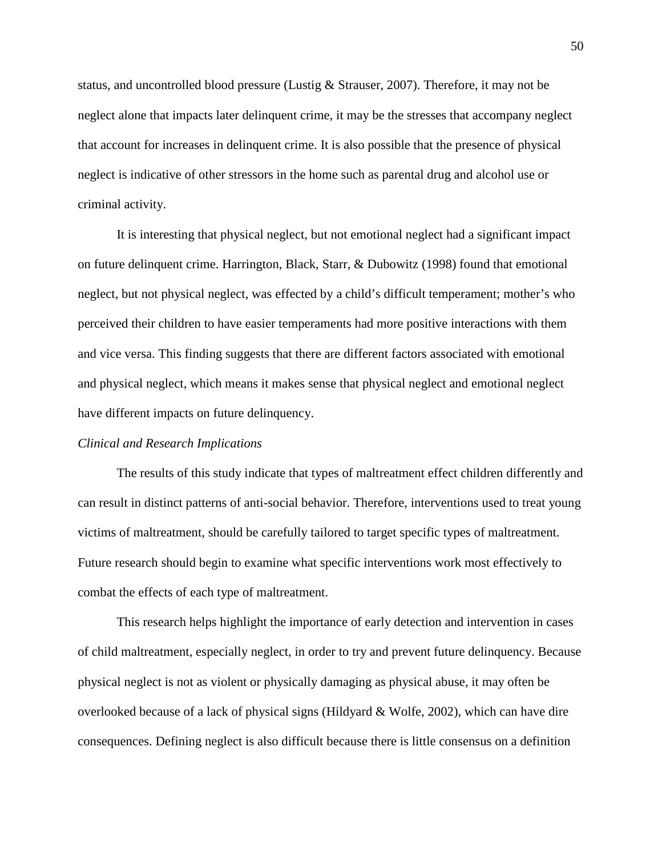status, and uncontrolled blood pressure (Lustig & Strauser, 2007). Therefore, it may not be neglect alone that impacts later delinquent crime, it may be the stresses that accompany neglect that account for increases in delinquent crime. It is also possible that the presence of physical neglect is indicative of other stressors in the home such as parental drug and alcohol use or criminal activity.

It is interesting that physical neglect, but not emotional neglect had a significant impact on future delinquent crime. Harrington, Black, Starr, & Dubowitz (1998) found that emotional neglect, but not physical neglect, was effected by a child's difficult temperament; mother's who perceived their children to have easier temperaments had more positive interactions with them and vice versa. This finding suggests that there are different factors associated with emotional and physical neglect, which means it makes sense that physical neglect and emotional neglect have different impacts on future delinquency.

#### *Clinical and Research Implications*

The results of this study indicate that types of maltreatment effect children differently and can result in distinct patterns of anti-social behavior. Therefore, interventions used to treat young victims of maltreatment, should be carefully tailored to target specific types of maltreatment. Future research should begin to examine what specific interventions work most effectively to combat the effects of each type of maltreatment.

This research helps highlight the importance of early detection and intervention in cases of child maltreatment, especially neglect, in order to try and prevent future delinquency. Because physical neglect is not as violent or physically damaging as physical abuse, it may often be overlooked because of a lack of physical signs (Hildyard & Wolfe, 2002), which can have dire consequences. Defining neglect is also difficult because there is little consensus on a definition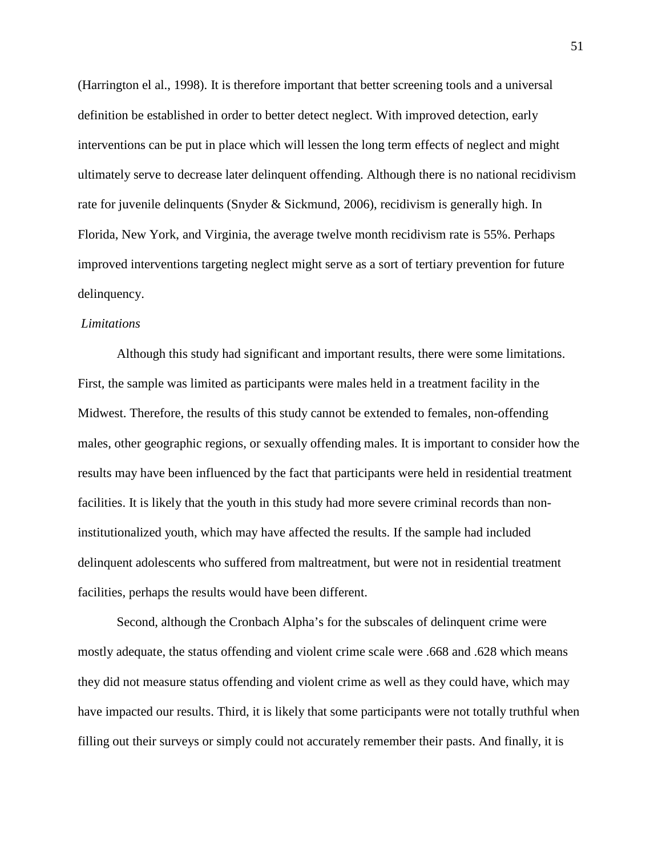(Harrington el al., 1998). It is therefore important that better screening tools and a universal definition be established in order to better detect neglect. With improved detection, early interventions can be put in place which will lessen the long term effects of neglect and might ultimately serve to decrease later delinquent offending. Although there is no national recidivism rate for juvenile delinquents (Snyder & Sickmund, 2006), recidivism is generally high. In Florida, New York, and Virginia, the average twelve month recidivism rate is 55%. Perhaps improved interventions targeting neglect might serve as a sort of tertiary prevention for future delinquency.

#### *Limitations*

Although this study had significant and important results, there were some limitations. First, the sample was limited as participants were males held in a treatment facility in the Midwest. Therefore, the results of this study cannot be extended to females, non-offending males, other geographic regions, or sexually offending males. It is important to consider how the results may have been influenced by the fact that participants were held in residential treatment facilities. It is likely that the youth in this study had more severe criminal records than noninstitutionalized youth, which may have affected the results. If the sample had included delinquent adolescents who suffered from maltreatment, but were not in residential treatment facilities, perhaps the results would have been different.

Second, although the Cronbach Alpha's for the subscales of delinquent crime were mostly adequate, the status offending and violent crime scale were .668 and .628 which means they did not measure status offending and violent crime as well as they could have, which may have impacted our results. Third, it is likely that some participants were not totally truthful when filling out their surveys or simply could not accurately remember their pasts. And finally, it is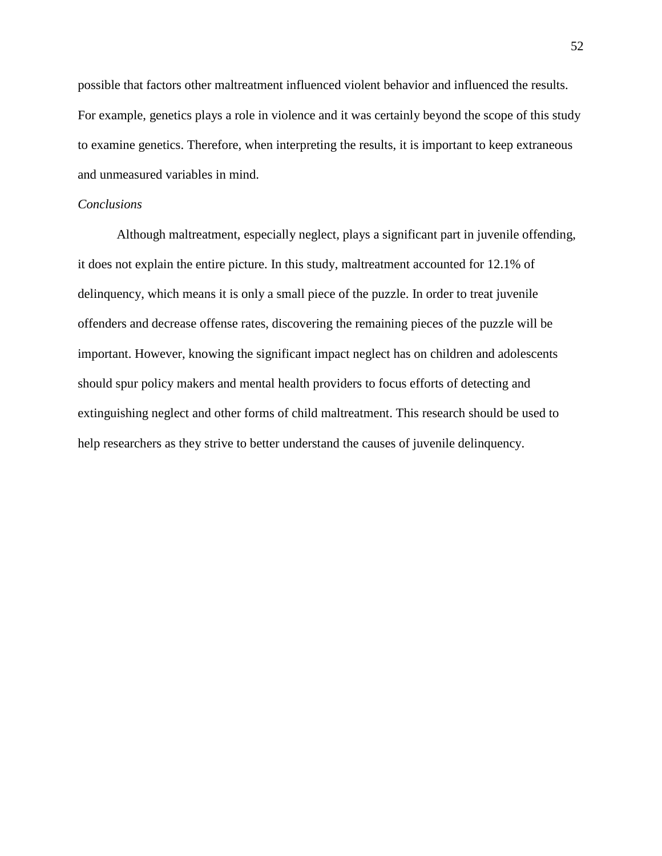possible that factors other maltreatment influenced violent behavior and influenced the results. For example, genetics plays a role in violence and it was certainly beyond the scope of this study to examine genetics. Therefore, when interpreting the results, it is important to keep extraneous and unmeasured variables in mind.

## *Conclusions*

Although maltreatment, especially neglect, plays a significant part in juvenile offending, it does not explain the entire picture. In this study, maltreatment accounted for 12.1% of delinquency, which means it is only a small piece of the puzzle. In order to treat juvenile offenders and decrease offense rates, discovering the remaining pieces of the puzzle will be important. However, knowing the significant impact neglect has on children and adolescents should spur policy makers and mental health providers to focus efforts of detecting and extinguishing neglect and other forms of child maltreatment. This research should be used to help researchers as they strive to better understand the causes of juvenile delinquency.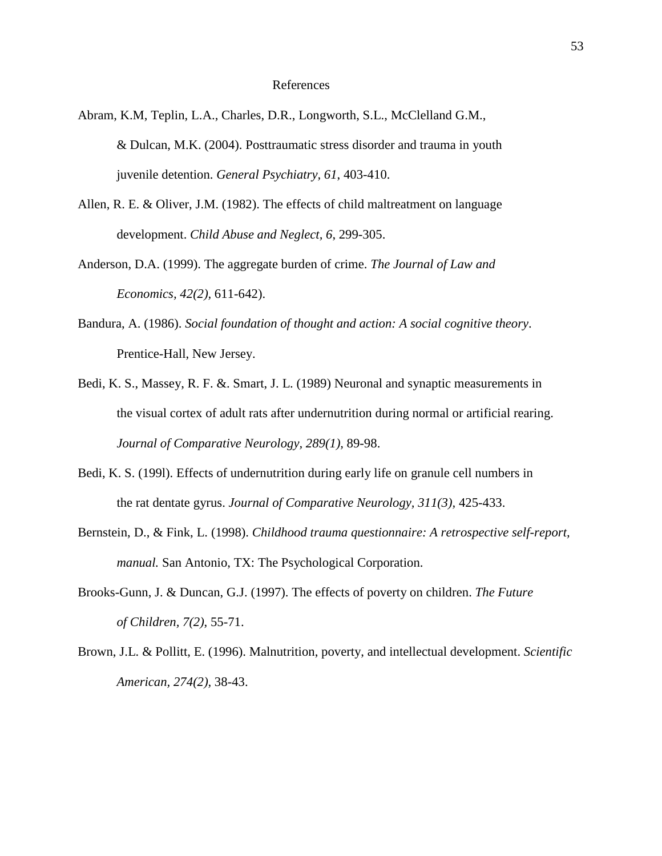#### References

- Abram, K.M, Teplin, L.A., Charles, D.R., Longworth, S.L., McClelland G.M., & Dulcan, M.K. (2004). Posttraumatic stress disorder and trauma in youth juvenile detention. *General Psychiatry, 61*, 403-410.
- Allen, R. E. & Oliver, J.M. (1982). The effects of child maltreatment on language development. *Child Abuse and Neglect, 6*, 299-305.
- Anderson, D.A. (1999). The aggregate burden of crime. *The Journal of Law and Economics, 42(2),* 611-642).
- Bandura, A. (1986). *Social foundation of thought and action: A social cognitive theory*. Prentice-Hall, New Jersey.
- Bedi, K. S., Massey, R. F. &. Smart, J. L. (1989) Neuronal and synaptic measurements in the visual cortex of adult rats after undernutrition during normal or artificial rearing. *Journal of Comparative Neurology, 289(1),* 89-98.
- Bedi, K. S. (199l). Effects of undernutrition during early life on granule cell numbers in the rat dentate gyrus. *Journal of Comparative Neurology, 311(3),* 425-433.
- Bernstein, D., & Fink, L. (1998). *Childhood trauma questionnaire: A retrospective self-report, manual.* San Antonio, TX: The Psychological Corporation.
- Brooks-Gunn, J. & Duncan, G.J. (1997). The effects of poverty on children. *The Future of Children, 7(2)*, 55-71.
- Brown, J.L. & Pollitt, E. (1996). Malnutrition, poverty, and intellectual development. *Scientific American, 274(2),* 38-43.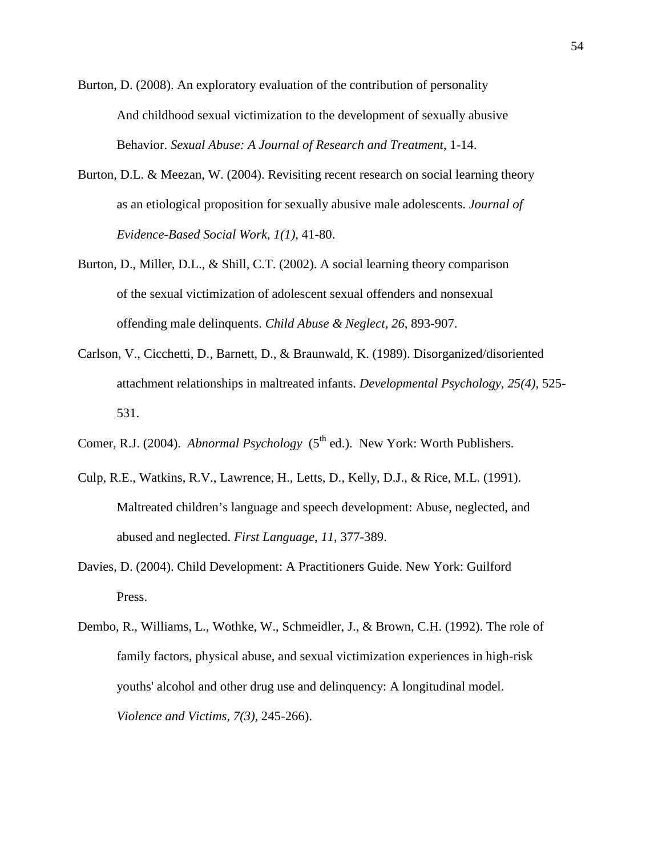- Burton, D. (2008). An exploratory evaluation of the contribution of personality And childhood sexual victimization to the development of sexually abusive Behavior. *Sexual Abuse: A Journal of Research and Treatment*, 1-14.
- Burton, D.L. & Meezan, W. (2004). Revisiting recent research on social learning theory as an etiological proposition for sexually abusive male adolescents. *Journal of Evidence-Based Social Work, 1(1),* 41-80.
- Burton, D., Miller, D.L., & Shill, C.T. (2002). A social learning theory comparison of the sexual victimization of adolescent sexual offenders and nonsexual offending male delinquents. *Child Abuse & Neglect, 26*, 893-907.
- Carlson, V., Cicchetti, D., Barnett, D., & Braunwald, K. (1989). Disorganized/disoriented attachment relationships in maltreated infants. *Developmental Psychology, 25(4)*, 525- 531.
- Comer, R.J. (2004). *Abnormal Psychology* (5<sup>th</sup> ed.). New York: Worth Publishers.
- Culp, R.E., Watkins, R.V., Lawrence, H., Letts, D., Kelly, D.J., & Rice, M.L. (1991). Maltreated children's language and speech development: Abuse, neglected, and abused and neglected. *First Language, 11*, 377-389.
- Davies, D. (2004). Child Development: A Practitioners Guide. New York: Guilford Press.
- Dembo, R., Williams, L., Wothke, W., Schmeidler, J., & Brown, C.H. (1992). The role of family factors, physical abuse, and sexual victimization experiences in high-risk youths' alcohol and other drug use and delinquency: A longitudinal model. *Violence and Victims, 7(3),* 245-266).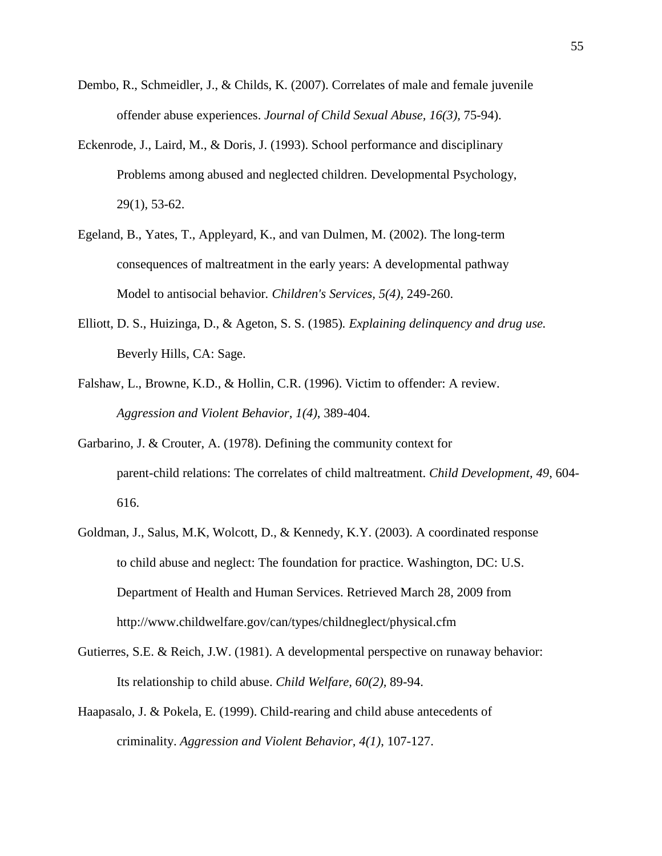- Dembo, R., Schmeidler, J., & Childs, K. (2007). Correlates of male and female juvenile offender abuse experiences. *Journal of Child Sexual Abuse, 16(3),* 75-94).
- Eckenrode, J., Laird, M., & Doris, J. (1993). School performance and disciplinary Problems among abused and neglected children. Developmental Psychology, 29(1), 53-62.
- Egeland, B., Yates, T., Appleyard, K., and van Dulmen, M. (2002). The long-term consequences of maltreatment in the early years: A developmental pathway Model to antisocial behavior*. Children's Services, 5(4),* 249-260.
- Elliott, D. S., Huizinga, D., & Ageton, S. S. (1985)*. Explaining delinquency and drug use.*  Beverly Hills, CA: Sage.
- Falshaw, L., Browne, K.D., & Hollin, C.R. (1996). Victim to offender: A review. *Aggression and Violent Behavior, 1(4)*, 389-404.
- Garbarino, J. & Crouter, A. (1978). Defining the community context for parent-child relations: The correlates of child maltreatment. *Child Development, 49*, 604- 616.
- Goldman, J., Salus, M.K, Wolcott, D., & Kennedy, K.Y. (2003). A coordinated response to child abuse and neglect: The foundation for practice. Washington, DC: U.S. Department of Health and Human Services. Retrieved March 28, 2009 from http://www.childwelfare.gov/can/types/childneglect/physical.cfm
- Gutierres, S.E. & Reich, J.W. (1981). A developmental perspective on runaway behavior: Its relationship to child abuse. *Child Welfare, 60(2),* 89-94.
- Haapasalo, J. & Pokela, E. (1999). Child-rearing and child abuse antecedents of criminality. *Aggression and Violent Behavior, 4(1)*, 107-127.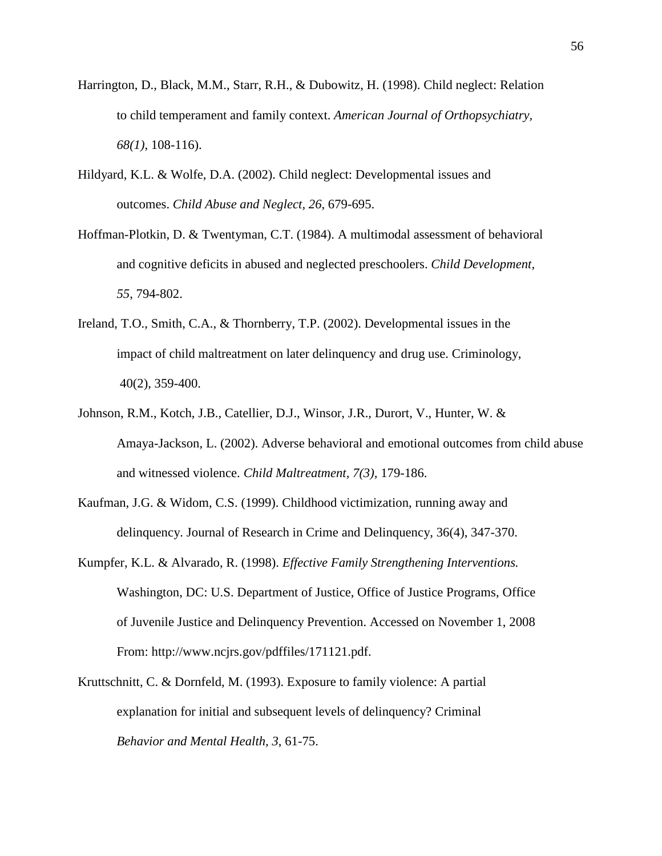- Harrington, D., Black, M.M., Starr, R.H., & Dubowitz, H. (1998). Child neglect: Relation to child temperament and family context. *American Journal of Orthopsychiatry, 68(1)*, 108-116).
- Hildyard, K.L. & Wolfe, D.A. (2002). Child neglect: Developmental issues and outcomes. *Child Abuse and Neglect, 26*, 679-695.
- Hoffman-Plotkin, D. & Twentyman, C.T. (1984). A multimodal assessment of behavioral and cognitive deficits in abused and neglected preschoolers. *Child Development, 55*, 794-802.
- Ireland, T.O., Smith, C.A., & Thornberry, T.P. (2002). Developmental issues in the impact of child maltreatment on later delinquency and drug use. Criminology, 40(2), 359-400.
- Johnson, R.M., Kotch, J.B., Catellier, D.J., Winsor, J.R., Durort, V., Hunter, W. & Amaya-Jackson, L. (2002). Adverse behavioral and emotional outcomes from child abuse and witnessed violence. *Child Maltreatment, 7(3),* 179-186.
- Kaufman, J.G. & Widom, C.S. (1999). Childhood victimization, running away and delinquency. Journal of Research in Crime and Delinquency, 36(4), 347-370.
- Kumpfer, K.L. & Alvarado, R. (1998). *Effective Family Strengthening Interventions.*  Washington, DC: U.S. Department of Justice, Office of Justice Programs, Office of Juvenile Justice and Delinquency Prevention. Accessed on November 1, 2008 From: http://www.ncjrs.gov/pdffiles/171121.pdf.
- Kruttschnitt, C. & Dornfeld, M. (1993). Exposure to family violence: A partial explanation for initial and subsequent levels of delinquency? Criminal *Behavior and Mental Health, 3*, 61-75.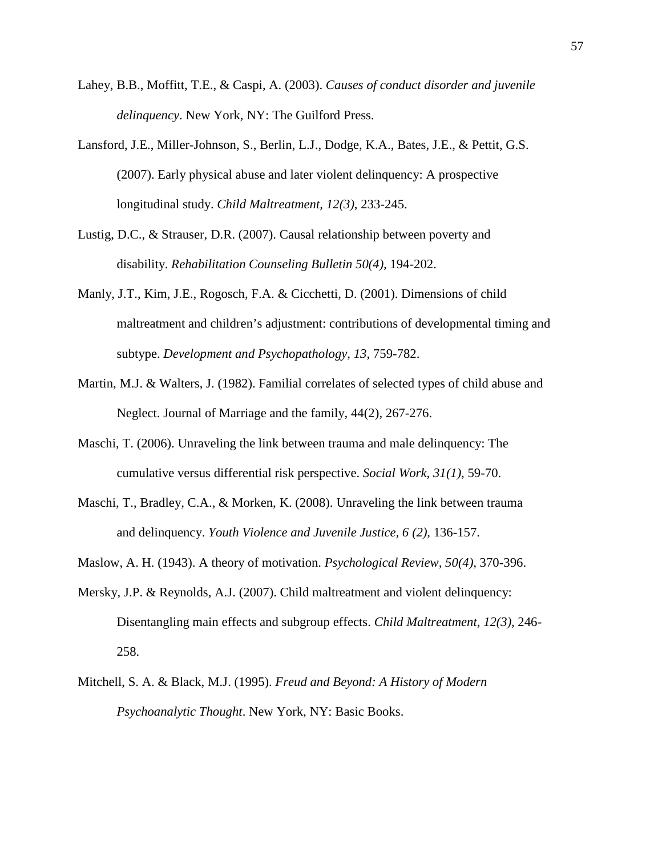- Lahey, B.B., Moffitt, T.E., & Caspi, A. (2003). *Causes of conduct disorder and juvenile delinquency*. New York, NY: The Guilford Press.
- Lansford, J.E., Miller-Johnson, S., Berlin, L.J., Dodge, K.A., Bates, J.E., & Pettit, G.S. (2007). Early physical abuse and later violent delinquency: A prospective longitudinal study. *Child Maltreatment, 12(3)*, 233-245.
- Lustig, D.C., & Strauser, D.R. (2007). Causal relationship between poverty and disability. *Rehabilitation Counseling Bulletin 50(4),* 194-202.
- Manly, J.T., Kim, J.E., Rogosch, F.A. & Cicchetti, D. (2001). Dimensions of child maltreatment and children's adjustment: contributions of developmental timing and subtype. *Development and Psychopathology, 13*, 759-782.
- Martin, M.J. & Walters, J. (1982). Familial correlates of selected types of child abuse and Neglect. Journal of Marriage and the family, 44(2), 267-276.
- Maschi, T. (2006). Unraveling the link between trauma and male delinquency: The cumulative versus differential risk perspective. *Social Work, 31(1)*, 59-70.
- Maschi, T., Bradley, C.A., & Morken, K. (2008). Unraveling the link between trauma and delinquency. *Youth Violence and Juvenile Justice, 6 (2),* 136-157.
- Maslow, A. H. (1943). A theory of motivation. *Psychological Review, 50(4),* 370-396.
- Mersky, J.P. & Reynolds, A.J. (2007). Child maltreatment and violent delinquency: Disentangling main effects and subgroup effects. *Child Maltreatment, 12(3),* 246- 258.
- Mitchell, S. A. & Black, M.J. (1995). *Freud and Beyond: A History of Modern Psychoanalytic Thought*. New York, NY: Basic Books.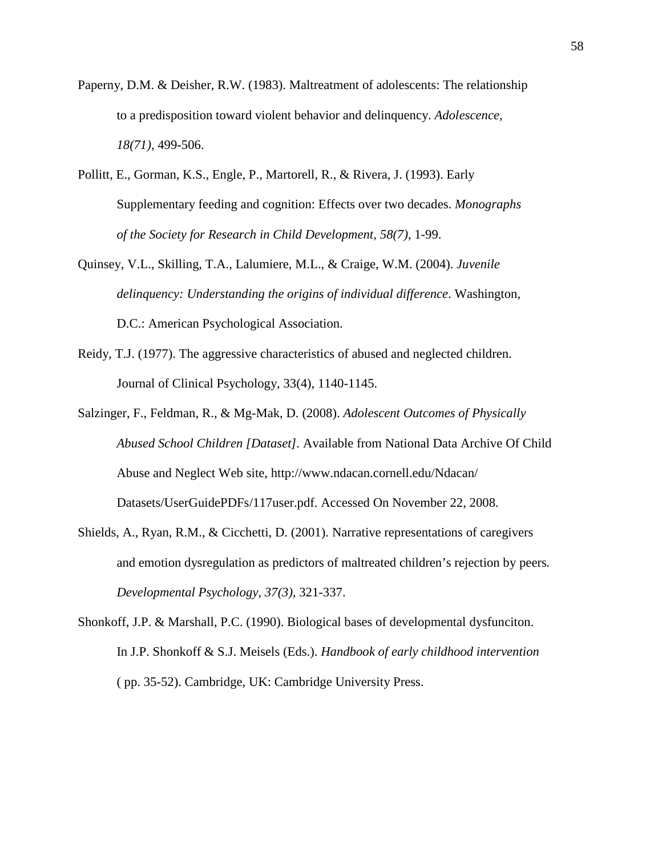- Paperny, D.M. & Deisher, R.W. (1983). Maltreatment of adolescents: The relationship to a predisposition toward violent behavior and delinquency. *Adolescence, 18(71),* 499-506.
- Pollitt, E., Gorman, K.S., Engle, P., Martorell, R., & Rivera, J. (1993). Early Supplementary feeding and cognition: Effects over two decades. *Monographs of the Society for Research in Child Development, 58(7)*, 1-99.
- Quinsey, V.L., Skilling, T.A., Lalumiere, M.L., & Craige, W.M. (2004). *Juvenile delinquency: Understanding the origins of individual difference*. Washington, D.C.: American Psychological Association.
- Reidy, T.J. (1977). The aggressive characteristics of abused and neglected children. Journal of Clinical Psychology, 33(4), 1140-1145.
- Salzinger, F., Feldman, R., & Mg-Mak, D. (2008). *Adolescent Outcomes of Physically Abused School Children [Dataset].* Available from National Data Archive Of Child Abuse and Neglect Web site, http://www.ndacan.cornell.edu/Ndacan/ Datasets/UserGuidePDFs/117user.pdf. Accessed On November 22, 2008.
- Shields, A., Ryan, R.M., & Cicchetti, D. (2001). Narrative representations of caregivers and emotion dysregulation as predictors of maltreated children's rejection by peers*. Developmental Psychology, 37(3),* 321-337.
- Shonkoff, J.P. & Marshall, P.C. (1990). Biological bases of developmental dysfunciton. In J.P. Shonkoff & S.J. Meisels (Eds.). *Handbook of early childhood intervention*  ( pp. 35-52). Cambridge, UK: Cambridge University Press.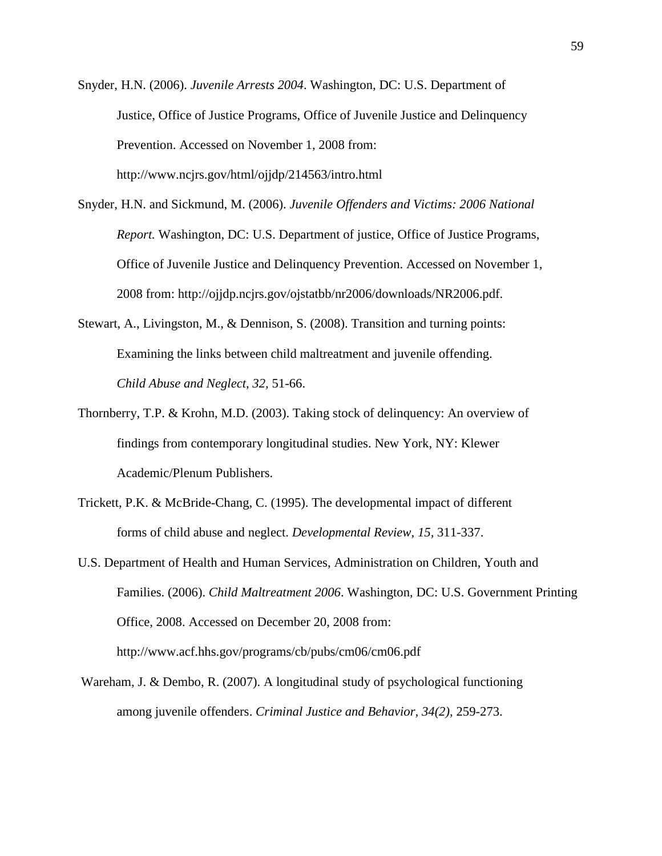Snyder, H.N. (2006). *Juvenile Arrests 2004*. Washington, DC: U.S. Department of Justice, Office of Justice Programs, Office of Juvenile Justice and Delinquency Prevention. Accessed on November 1, 2008 from: http://www.ncjrs.gov/html/ojjdp/214563/intro.html

- Snyder, H.N. and Sickmund, M. (2006). *Juvenile Offenders and Victims: 2006 National Report.* Washington, DC: U.S. Department of justice, Office of Justice Programs, Office of Juvenile Justice and Delinquency Prevention. Accessed on November 1, 2008 from: http://ojjdp.ncjrs.gov/ojstatbb/nr2006/downloads/NR2006.pdf.
- Stewart, A., Livingston, M., & Dennison, S. (2008). Transition and turning points: Examining the links between child maltreatment and juvenile offending. *Child Abuse and Neglect, 32,* 51-66.
- Thornberry, T.P. & Krohn, M.D. (2003). Taking stock of delinquency: An overview of findings from contemporary longitudinal studies. New York, NY: Klewer Academic/Plenum Publishers.
- Trickett, P.K. & McBride-Chang, C. (1995). The developmental impact of different forms of child abuse and neglect. *Developmental Review, 15,* 311-337.
- U.S. Department of Health and Human Services, Administration on Children, Youth and Families. (2006). *Child Maltreatment 2006*. Washington, DC: U.S. Government Printing Office, 2008. Accessed on December 20, 2008 from: http://www.acf.hhs.gov/programs/cb/pubs/cm06/cm06.pdf
- Wareham, J. & Dembo, R. (2007). A longitudinal study of psychological functioning among juvenile offenders. *Criminal Justice and Behavior, 34(2),* 259-273.